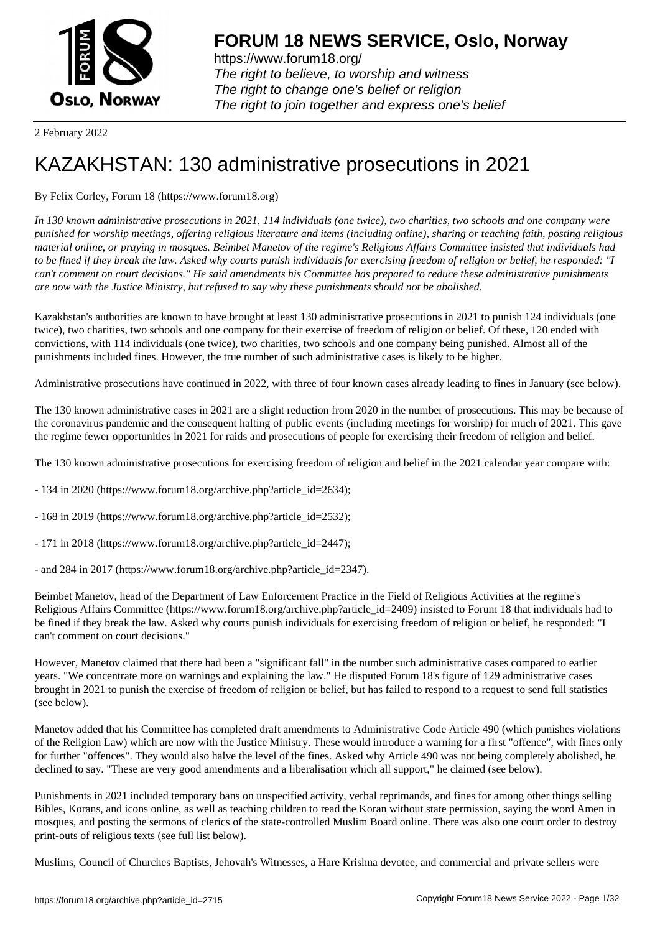

https://www.forum18.org/ The right to believe, to worship and witness The right to change one's belief or religion [The right to join together a](https://www.forum18.org/)nd express one's belief

2 February 2022

# [KAZAKHSTAN:](https://www.forum18.org) 130 administrative prosecutions in 2021

## By Felix Corley, Forum 18 (https://www.forum18.org)

*In 130 known administrative prosecutions in 2021, 114 individuals (one twice), two charities, two schools and one company were punished for worship meetings, offering religious literature and items (including online), sharing or teaching faith, posting religious material online, or praying in mosques. Beimbet Manetov of the regime's Religious Affairs Committee insisted that individuals had to be fined if they break the law. Asked why courts punish individuals for exercising freedom of religion or belief, he responded: "I can't comment on court decisions." He said amendments his Committee has prepared to reduce these administrative punishments are now with the Justice Ministry, but refused to say why these punishments should not be abolished.*

Kazakhstan's authorities are known to have brought at least 130 administrative prosecutions in 2021 to punish 124 individuals (one twice), two charities, two schools and one company for their exercise of freedom of religion or belief. Of these, 120 ended with convictions, with 114 individuals (one twice), two charities, two schools and one company being punished. Almost all of the punishments included fines. However, the true number of such administrative cases is likely to be higher.

Administrative prosecutions have continued in 2022, with three of four known cases already leading to fines in January (see below).

The 130 known administrative cases in 2021 are a slight reduction from 2020 in the number of prosecutions. This may be because of the coronavirus pandemic and the consequent halting of public events (including meetings for worship) for much of 2021. This gave the regime fewer opportunities in 2021 for raids and prosecutions of people for exercising their freedom of religion and belief.

The 130 known administrative prosecutions for exercising freedom of religion and belief in the 2021 calendar year compare with:

- 134 in 2020 (https://www.forum18.org/archive.php?article\_id=2634);
- 168 in 2019 (https://www.forum18.org/archive.php?article\_id=2532);
- 171 in 2018 (https://www.forum18.org/archive.php?article\_id=2447);
- and 284 in 2017 (https://www.forum18.org/archive.php?article\_id=2347).

Beimbet Manetov, head of the Department of Law Enforcement Practice in the Field of Religious Activities at the regime's Religious Affairs Committee (https://www.forum18.org/archive.php?article\_id=2409) insisted to Forum 18 that individuals had to be fined if they break the law. Asked why courts punish individuals for exercising freedom of religion or belief, he responded: "I can't comment on court decisions."

However, Manetov claimed that there had been a "significant fall" in the number such administrative cases compared to earlier years. "We concentrate more on warnings and explaining the law." He disputed Forum 18's figure of 129 administrative cases brought in 2021 to punish the exercise of freedom of religion or belief, but has failed to respond to a request to send full statistics (see below).

Manetov added that his Committee has completed draft amendments to Administrative Code Article 490 (which punishes violations of the Religion Law) which are now with the Justice Ministry. These would introduce a warning for a first "offence", with fines only for further "offences". They would also halve the level of the fines. Asked why Article 490 was not being completely abolished, he declined to say. "These are very good amendments and a liberalisation which all support," he claimed (see below).

Punishments in 2021 included temporary bans on unspecified activity, verbal reprimands, and fines for among other things selling Bibles, Korans, and icons online, as well as teaching children to read the Koran without state permission, saying the word Amen in mosques, and posting the sermons of clerics of the state-controlled Muslim Board online. There was also one court order to destroy print-outs of religious texts (see full list below).

Muslims, Council of Churches Baptists, Jehovah's Witnesses, a Hare Krishna devotee, and commercial and private sellers were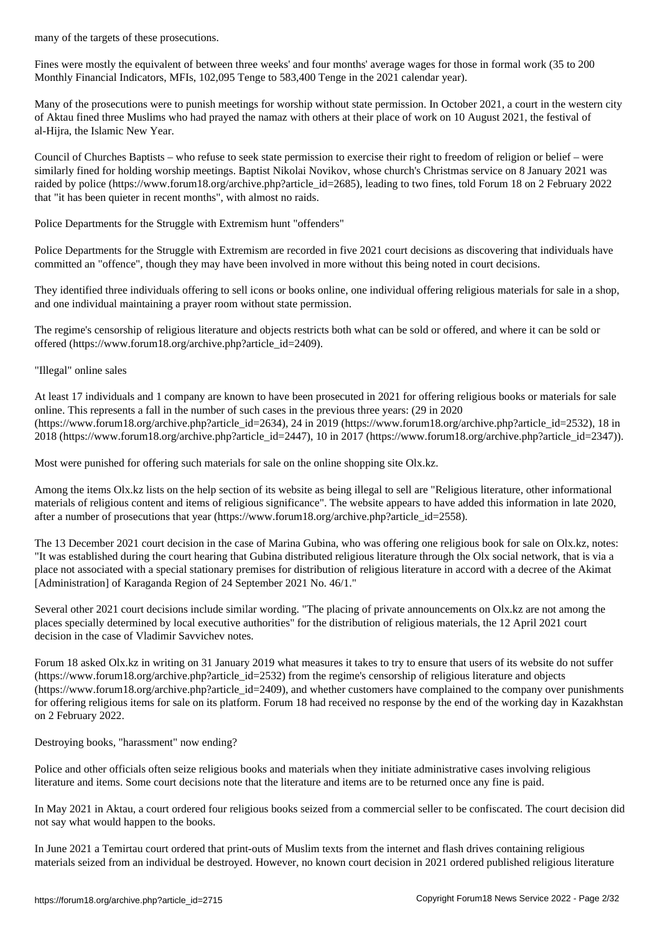Fines were mostly the equivalent of between three weeks' and four months' average wages for those in formal work (35 to 200 Monthly Financial Indicators, MFIs, 102,095 Tenge to 583,400 Tenge in the 2021 calendar year).

Many of the prosecutions were to punish meetings for worship without state permission. In October 2021, a court in the western city of Aktau fined three Muslims who had prayed the namaz with others at their place of work on 10 August 2021, the festival of al-Hijra, the Islamic New Year.

Council of Churches Baptists – who refuse to seek state permission to exercise their right to freedom of religion or belief – were similarly fined for holding worship meetings. Baptist Nikolai Novikov, whose church's Christmas service on 8 January 2021 was raided by police (https://www.forum18.org/archive.php?article\_id=2685), leading to two fines, told Forum 18 on 2 February 2022 that "it has been quieter in recent months", with almost no raids.

Police Departments for the Struggle with Extremism hunt "offenders"

Police Departments for the Struggle with Extremism are recorded in five 2021 court decisions as discovering that individuals have committed an "offence", though they may have been involved in more without this being noted in court decisions.

They identified three individuals offering to sell icons or books online, one individual offering religious materials for sale in a shop, and one individual maintaining a prayer room without state permission.

The regime's censorship of religious literature and objects restricts both what can be sold or offered, and where it can be sold or offered (https://www.forum18.org/archive.php?article\_id=2409).

"Illegal" online sales

At least 17 individuals and 1 company are known to have been prosecuted in 2021 for offering religious books or materials for sale online. This represents a fall in the number of such cases in the previous three years: (29 in 2020  $(\text{https://www.forum18.org/archive.php?article id=2634), 24 in 2019}$  (https://www.forum18.org/archive.php?article\_id=2532), 18 in 2018 (https://www.forum18.org/archive.php?article\_id=2447), 10 in 2017 (https://www.forum18.org/archive.php?article\_id=2347)).

Most were punished for offering such materials for sale on the online shopping site Olx.kz.

Among the items Olx.kz lists on the help section of its website as being illegal to sell are "Religious literature, other informational materials of religious content and items of religious significance". The website appears to have added this information in late 2020, after a number of prosecutions that year (https://www.forum18.org/archive.php?article\_id=2558).

The 13 December 2021 court decision in the case of Marina Gubina, who was offering one religious book for sale on Olx.kz, notes: "It was established during the court hearing that Gubina distributed religious literature through the Olx social network, that is via a place not associated with a special stationary premises for distribution of religious literature in accord with a decree of the Akimat [Administration] of Karaganda Region of 24 September 2021 No. 46/1."

Several other 2021 court decisions include similar wording. "The placing of private announcements on Olx.kz are not among the places specially determined by local executive authorities" for the distribution of religious materials, the 12 April 2021 court decision in the case of Vladimir Savvichev notes.

Forum 18 asked Olx.kz in writing on 31 January 2019 what measures it takes to try to ensure that users of its website do not suffer (https://www.forum18.org/archive.php?article\_id=2532) from the regime's censorship of religious literature and objects (https://www.forum18.org/archive.php?article\_id=2409), and whether customers have complained to the company over punishments for offering religious items for sale on its platform. Forum 18 had received no response by the end of the working day in Kazakhstan on 2 February 2022.

Destroying books, "harassment" now ending?

Police and other officials often seize religious books and materials when they initiate administrative cases involving religious literature and items. Some court decisions note that the literature and items are to be returned once any fine is paid.

In May 2021 in Aktau, a court ordered four religious books seized from a commercial seller to be confiscated. The court decision did not say what would happen to the books.

In June 2021 a Temirtau court ordered that print-outs of Muslim texts from the internet and flash drives containing religious materials seized from an individual be destroyed. However, no known court decision in 2021 ordered published religious literature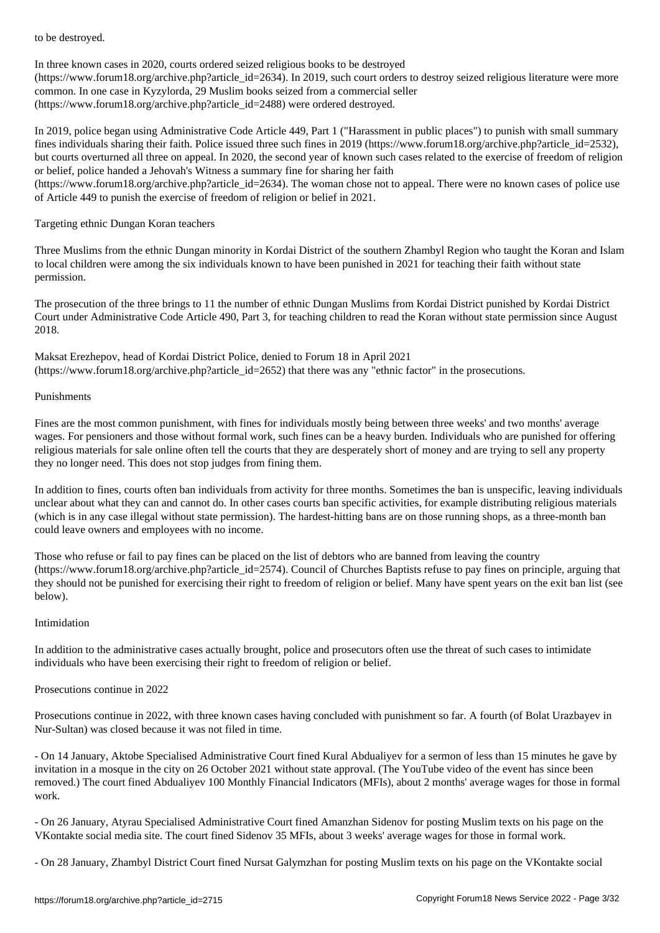In three known cases in 2020, courts ordered seized religious books to be destroyed (https://www.forum18.org/archive.php?article\_id=2634). In 2019, such court orders to destroy seized religious literature were more common. In one case in Kyzylorda, 29 Muslim books seized from a commercial seller (https://www.forum18.org/archive.php?article\_id=2488) were ordered destroyed.

In 2019, police began using Administrative Code Article 449, Part 1 ("Harassment in public places") to punish with small summary fines individuals sharing their faith. Police issued three such fines in 2019 (https://www.forum18.org/archive.php?article\_id=2532), but courts overturned all three on appeal. In 2020, the second year of known such cases related to the exercise of freedom of religion or belief, police handed a Jehovah's Witness a summary fine for sharing her faith

(https://www.forum18.org/archive.php?article\_id=2634). The woman chose not to appeal. There were no known cases of police use of Article 449 to punish the exercise of freedom of religion or belief in 2021.

#### Targeting ethnic Dungan Koran teachers

Three Muslims from the ethnic Dungan minority in Kordai District of the southern Zhambyl Region who taught the Koran and Islam to local children were among the six individuals known to have been punished in 2021 for teaching their faith without state permission.

The prosecution of the three brings to 11 the number of ethnic Dungan Muslims from Kordai District punished by Kordai District Court under Administrative Code Article 490, Part 3, for teaching children to read the Koran without state permission since August 2018.

Maksat Erezhepov, head of Kordai District Police, denied to Forum 18 in April 2021 (https://www.forum18.org/archive.php?article\_id=2652) that there was any "ethnic factor" in the prosecutions.

#### Punishments

Fines are the most common punishment, with fines for individuals mostly being between three weeks' and two months' average wages. For pensioners and those without formal work, such fines can be a heavy burden. Individuals who are punished for offering religious materials for sale online often tell the courts that they are desperately short of money and are trying to sell any property they no longer need. This does not stop judges from fining them.

In addition to fines, courts often ban individuals from activity for three months. Sometimes the ban is unspecific, leaving individuals unclear about what they can and cannot do. In other cases courts ban specific activities, for example distributing religious materials (which is in any case illegal without state permission). The hardest-hitting bans are on those running shops, as a three-month ban could leave owners and employees with no income.

Those who refuse or fail to pay fines can be placed on the list of debtors who are banned from leaving the country (https://www.forum18.org/archive.php?article\_id=2574). Council of Churches Baptists refuse to pay fines on principle, arguing that they should not be punished for exercising their right to freedom of religion or belief. Many have spent years on the exit ban list (see below).

#### Intimidation

In addition to the administrative cases actually brought, police and prosecutors often use the threat of such cases to intimidate individuals who have been exercising their right to freedom of religion or belief.

#### Prosecutions continue in 2022

Prosecutions continue in 2022, with three known cases having concluded with punishment so far. A fourth (of Bolat Urazbayev in Nur-Sultan) was closed because it was not filed in time.

- On 14 January, Aktobe Specialised Administrative Court fined Kural Abdualiyev for a sermon of less than 15 minutes he gave by invitation in a mosque in the city on 26 October 2021 without state approval. (The YouTube video of the event has since been removed.) The court fined Abdualiyev 100 Monthly Financial Indicators (MFIs), about 2 months' average wages for those in formal work.

- On 26 January, Atyrau Specialised Administrative Court fined Amanzhan Sidenov for posting Muslim texts on his page on the VKontakte social media site. The court fined Sidenov 35 MFIs, about 3 weeks' average wages for those in formal work.

- On 28 January, Zhambyl District Court fined Nursat Galymzhan for posting Muslim texts on his page on the VKontakte social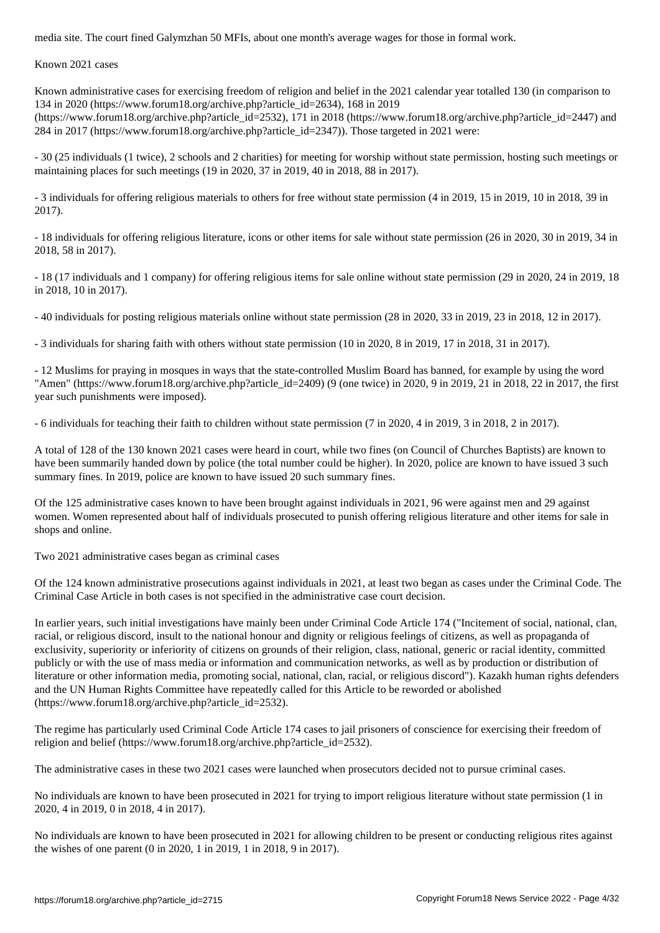Known 2021 cases

Known administrative cases for exercising freedom of religion and belief in the 2021 calendar year totalled 130 (in comparison to 134 in 2020 (https://www.forum18.org/archive.php?article\_id=2634), 168 in 2019

(https://www.forum18.org/archive.php?article\_id=2532), 171 in 2018 (https://www.forum18.org/archive.php?article\_id=2447) and 284 in 2017 (https://www.forum18.org/archive.php?article\_id=2347)). Those targeted in 2021 were:

- 30 (25 individuals (1 twice), 2 schools and 2 charities) for meeting for worship without state permission, hosting such meetings or maintaining places for such meetings (19 in 2020, 37 in 2019, 40 in 2018, 88 in 2017).

- 3 individuals for offering religious materials to others for free without state permission (4 in 2019, 15 in 2019, 10 in 2018, 39 in 2017).

- 18 individuals for offering religious literature, icons or other items for sale without state permission (26 in 2020, 30 in 2019, 34 in 2018, 58 in 2017).

- 18 (17 individuals and 1 company) for offering religious items for sale online without state permission (29 in 2020, 24 in 2019, 18 in 2018, 10 in 2017).

- 40 individuals for posting religious materials online without state permission (28 in 2020, 33 in 2019, 23 in 2018, 12 in 2017).

- 3 individuals for sharing faith with others without state permission (10 in 2020, 8 in 2019, 17 in 2018, 31 in 2017).

- 12 Muslims for praying in mosques in ways that the state-controlled Muslim Board has banned, for example by using the word "Amen" (https://www.forum18.org/archive.php?article\_id=2409) (9 (one twice) in 2020, 9 in 2019, 21 in 2018, 22 in 2017, the first year such punishments were imposed).

- 6 individuals for teaching their faith to children without state permission (7 in 2020, 4 in 2019, 3 in 2018, 2 in 2017).

A total of 128 of the 130 known 2021 cases were heard in court, while two fines (on Council of Churches Baptists) are known to have been summarily handed down by police (the total number could be higher). In 2020, police are known to have issued 3 such summary fines. In 2019, police are known to have issued 20 such summary fines.

Of the 125 administrative cases known to have been brought against individuals in 2021, 96 were against men and 29 against women. Women represented about half of individuals prosecuted to punish offering religious literature and other items for sale in shops and online.

Two 2021 administrative cases began as criminal cases

Of the 124 known administrative prosecutions against individuals in 2021, at least two began as cases under the Criminal Code. The Criminal Case Article in both cases is not specified in the administrative case court decision.

In earlier years, such initial investigations have mainly been under Criminal Code Article 174 ("Incitement of social, national, clan, racial, or religious discord, insult to the national honour and dignity or religious feelings of citizens, as well as propaganda of exclusivity, superiority or inferiority of citizens on grounds of their religion, class, national, generic or racial identity, committed publicly or with the use of mass media or information and communication networks, as well as by production or distribution of literature or other information media, promoting social, national, clan, racial, or religious discord"). Kazakh human rights defenders and the UN Human Rights Committee have repeatedly called for this Article to be reworded or abolished (https://www.forum18.org/archive.php?article\_id=2532).

The regime has particularly used Criminal Code Article 174 cases to jail prisoners of conscience for exercising their freedom of religion and belief (https://www.forum18.org/archive.php?article\_id=2532).

The administrative cases in these two 2021 cases were launched when prosecutors decided not to pursue criminal cases.

No individuals are known to have been prosecuted in 2021 for trying to import religious literature without state permission (1 in 2020, 4 in 2019, 0 in 2018, 4 in 2017).

No individuals are known to have been prosecuted in 2021 for allowing children to be present or conducting religious rites against the wishes of one parent (0 in 2020, 1 in 2019, 1 in 2018, 9 in 2017).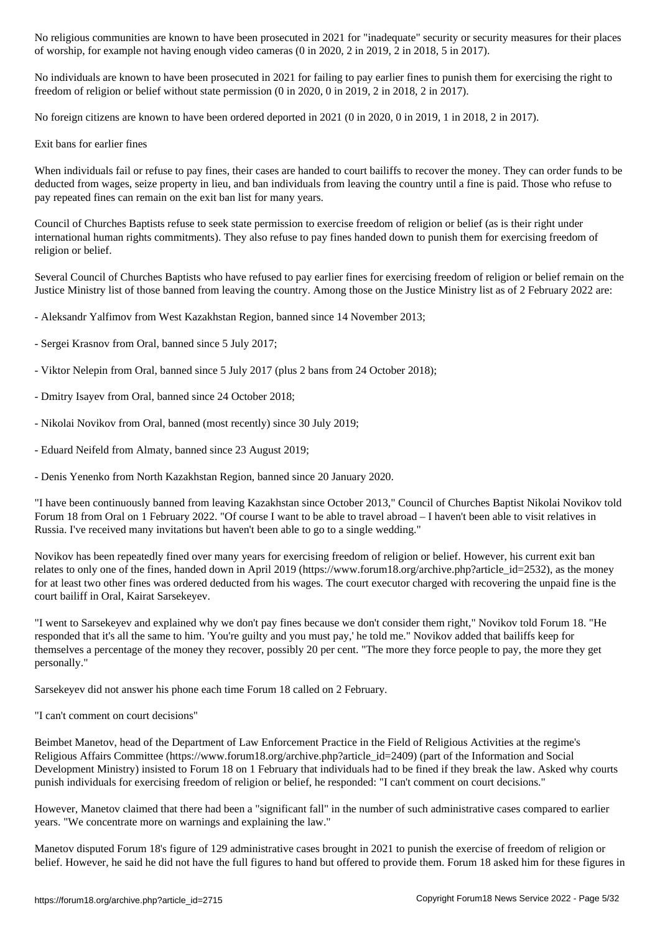of worship, for example not having enough video cameras (0 in 2020, 2 in 2019, 2 in 2018, 5 in 2017).

No individuals are known to have been prosecuted in 2021 for failing to pay earlier fines to punish them for exercising the right to freedom of religion or belief without state permission (0 in 2020, 0 in 2019, 2 in 2018, 2 in 2017).

No foreign citizens are known to have been ordered deported in 2021 (0 in 2020, 0 in 2019, 1 in 2018, 2 in 2017).

Exit bans for earlier fines

When individuals fail or refuse to pay fines, their cases are handed to court bailiffs to recover the money. They can order funds to be deducted from wages, seize property in lieu, and ban individuals from leaving the country until a fine is paid. Those who refuse to pay repeated fines can remain on the exit ban list for many years.

Council of Churches Baptists refuse to seek state permission to exercise freedom of religion or belief (as is their right under international human rights commitments). They also refuse to pay fines handed down to punish them for exercising freedom of religion or belief.

Several Council of Churches Baptists who have refused to pay earlier fines for exercising freedom of religion or belief remain on the Justice Ministry list of those banned from leaving the country. Among those on the Justice Ministry list as of 2 February 2022 are:

- Aleksandr Yalfimov from West Kazakhstan Region, banned since 14 November 2013;
- Sergei Krasnov from Oral, banned since 5 July 2017;
- Viktor Nelepin from Oral, banned since 5 July 2017 (plus 2 bans from 24 October 2018);
- Dmitry Isayev from Oral, banned since 24 October 2018;
- Nikolai Novikov from Oral, banned (most recently) since 30 July 2019;
- Eduard Neifeld from Almaty, banned since 23 August 2019;
- Denis Yenenko from North Kazakhstan Region, banned since 20 January 2020.

"I have been continuously banned from leaving Kazakhstan since October 2013," Council of Churches Baptist Nikolai Novikov told Forum 18 from Oral on 1 February 2022. "Of course I want to be able to travel abroad – I haven't been able to visit relatives in Russia. I've received many invitations but haven't been able to go to a single wedding."

Novikov has been repeatedly fined over many years for exercising freedom of religion or belief. However, his current exit ban relates to only one of the fines, handed down in April 2019 (https://www.forum18.org/archive.php?article\_id=2532), as the money for at least two other fines was ordered deducted from his wages. The court executor charged with recovering the unpaid fine is the court bailiff in Oral, Kairat Sarsekeyev.

"I went to Sarsekeyev and explained why we don't pay fines because we don't consider them right," Novikov told Forum 18. "He responded that it's all the same to him. 'You're guilty and you must pay,' he told me." Novikov added that bailiffs keep for themselves a percentage of the money they recover, possibly 20 per cent. "The more they force people to pay, the more they get personally."

Sarsekeyev did not answer his phone each time Forum 18 called on 2 February.

"I can't comment on court decisions"

Beimbet Manetov, head of the Department of Law Enforcement Practice in the Field of Religious Activities at the regime's Religious Affairs Committee (https://www.forum18.org/archive.php?article\_id=2409) (part of the Information and Social Development Ministry) insisted to Forum 18 on 1 February that individuals had to be fined if they break the law. Asked why courts punish individuals for exercising freedom of religion or belief, he responded: "I can't comment on court decisions."

However, Manetov claimed that there had been a "significant fall" in the number of such administrative cases compared to earlier years. "We concentrate more on warnings and explaining the law."

Manetov disputed Forum 18's figure of 129 administrative cases brought in 2021 to punish the exercise of freedom of religion or belief. However, he said he did not have the full figures to hand but offered to provide them. Forum 18 asked him for these figures in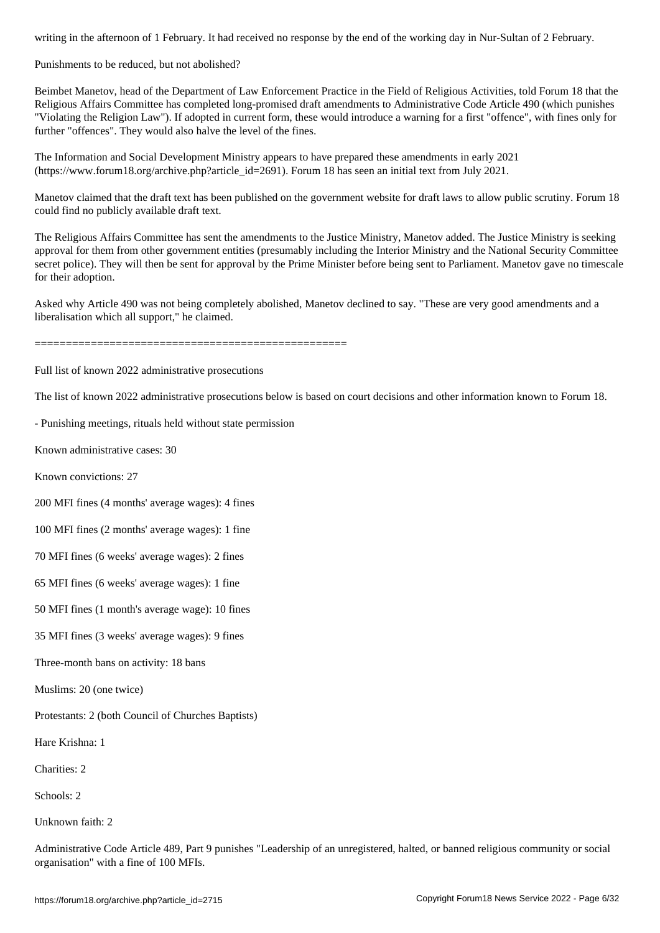Punishments to be reduced, but not abolished?

Beimbet Manetov, head of the Department of Law Enforcement Practice in the Field of Religious Activities, told Forum 18 that the Religious Affairs Committee has completed long-promised draft amendments to Administrative Code Article 490 (which punishes "Violating the Religion Law"). If adopted in current form, these would introduce a warning for a first "offence", with fines only for further "offences". They would also halve the level of the fines.

The Information and Social Development Ministry appears to have prepared these amendments in early 2021 (https://www.forum18.org/archive.php?article\_id=2691). Forum 18 has seen an initial text from July 2021.

Manetov claimed that the draft text has been published on the government website for draft laws to allow public scrutiny. Forum 18 could find no publicly available draft text.

The Religious Affairs Committee has sent the amendments to the Justice Ministry, Manetov added. The Justice Ministry is seeking approval for them from other government entities (presumably including the Interior Ministry and the National Security Committee secret police). They will then be sent for approval by the Prime Minister before being sent to Parliament. Manetov gave no timescale for their adoption.

Asked why Article 490 was not being completely abolished, Manetov declined to say. "These are very good amendments and a liberalisation which all support," he claimed.

==================================================

Full list of known 2022 administrative prosecutions

The list of known 2022 administrative prosecutions below is based on court decisions and other information known to Forum 18.

- Punishing meetings, rituals held without state permission

Known administrative cases: 30

Known convictions: 27

200 MFI fines (4 months' average wages): 4 fines

100 MFI fines (2 months' average wages): 1 fine

70 MFI fines (6 weeks' average wages): 2 fines

65 MFI fines (6 weeks' average wages): 1 fine

50 MFI fines (1 month's average wage): 10 fines

35 MFI fines (3 weeks' average wages): 9 fines

Three-month bans on activity: 18 bans

Muslims: 20 (one twice)

Protestants: 2 (both Council of Churches Baptists)

Hare Krishna: 1

Charities: 2

Schools: 2

Unknown faith: 2

Administrative Code Article 489, Part 9 punishes "Leadership of an unregistered, halted, or banned religious community or social organisation" with a fine of 100 MFIs.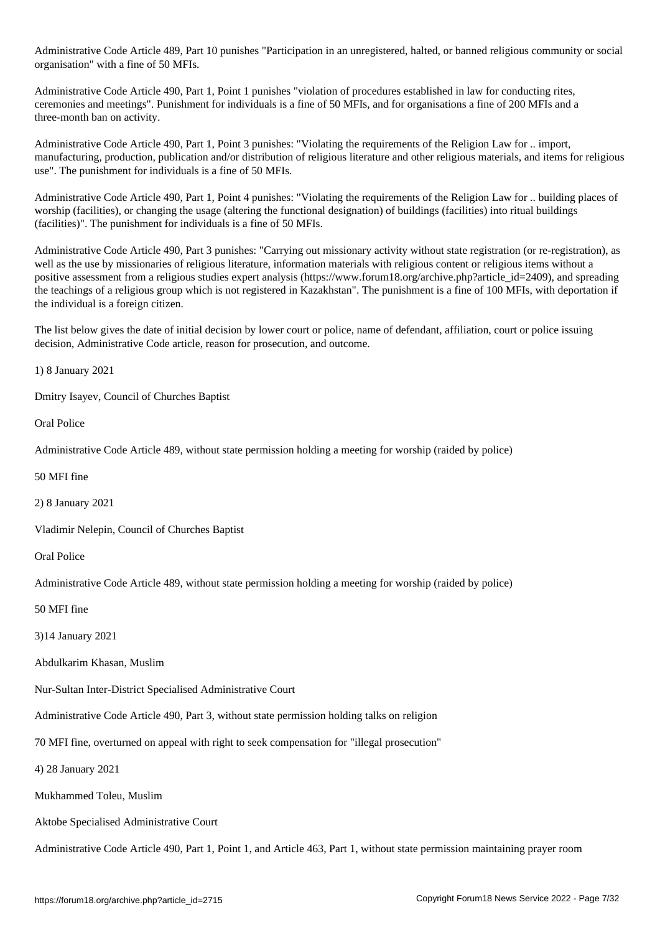Administrative Code Article 489, Part 10 punishes "Participation in an unregistered, halted, or banned religious community or social organisation" with a fine of 50 MFIs.

Administrative Code Article 490, Part 1, Point 1 punishes "violation of procedures established in law for conducting rites, ceremonies and meetings". Punishment for individuals is a fine of 50 MFIs, and for organisations a fine of 200 MFIs and a three-month ban on activity.

Administrative Code Article 490, Part 1, Point 3 punishes: "Violating the requirements of the Religion Law for .. import, manufacturing, production, publication and/or distribution of religious literature and other religious materials, and items for religious use". The punishment for individuals is a fine of 50 MFIs.

Administrative Code Article 490, Part 1, Point 4 punishes: "Violating the requirements of the Religion Law for .. building places of worship (facilities), or changing the usage (altering the functional designation) of buildings (facilities) into ritual buildings (facilities)". The punishment for individuals is a fine of 50 MFIs.

Administrative Code Article 490, Part 3 punishes: "Carrying out missionary activity without state registration (or re-registration), as well as the use by missionaries of religious literature, information materials with religious content or religious items without a positive assessment from a religious studies expert analysis (https://www.forum18.org/archive.php?article\_id=2409), and spreading the teachings of a religious group which is not registered in Kazakhstan". The punishment is a fine of 100 MFIs, with deportation if the individual is a foreign citizen.

The list below gives the date of initial decision by lower court or police, name of defendant, affiliation, court or police issuing decision, Administrative Code article, reason for prosecution, and outcome.

1) 8 January 2021

Dmitry Isayev, Council of Churches Baptist

Oral Police

Administrative Code Article 489, without state permission holding a meeting for worship (raided by police)

50 MFI fine

2) 8 January 2021

Vladimir Nelepin, Council of Churches Baptist

Oral Police

Administrative Code Article 489, without state permission holding a meeting for worship (raided by police)

50 MFI fine

3)14 January 2021

Abdulkarim Khasan, Muslim

Nur-Sultan Inter-District Specialised Administrative Court

Administrative Code Article 490, Part 3, without state permission holding talks on religion

70 MFI fine, overturned on appeal with right to seek compensation for "illegal prosecution"

4) 28 January 2021

Mukhammed Toleu, Muslim

Aktobe Specialised Administrative Court

Administrative Code Article 490, Part 1, Point 1, and Article 463, Part 1, without state permission maintaining prayer room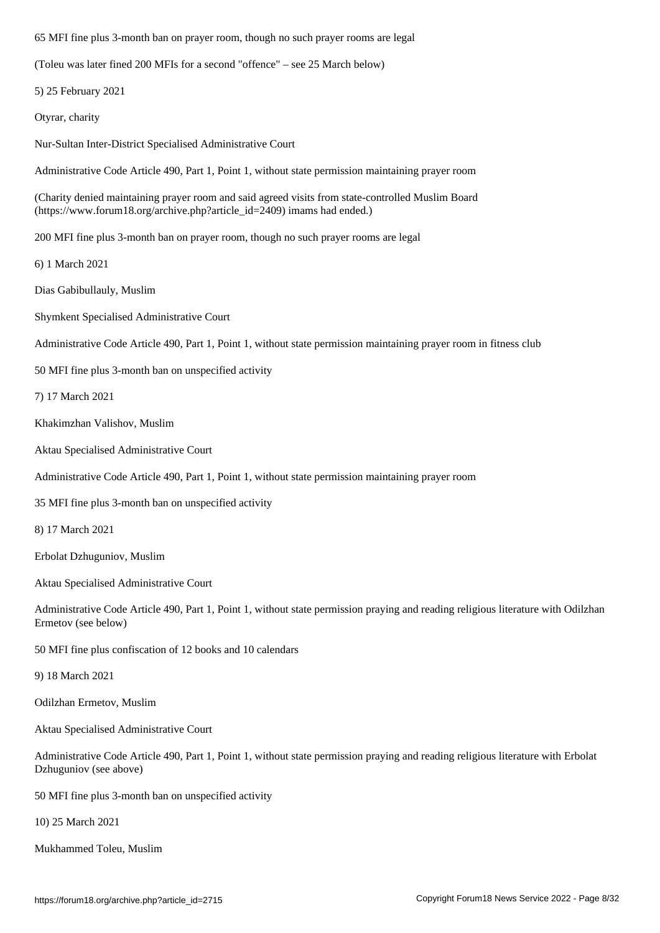(Toleu was later fined 200 MFIs for a second "offence" – see 25 March below)

5) 25 February 2021

Otyrar, charity

Nur-Sultan Inter-District Specialised Administrative Court

Administrative Code Article 490, Part 1, Point 1, without state permission maintaining prayer room

(Charity denied maintaining prayer room and said agreed visits from state-controlled Muslim Board (https://www.forum18.org/archive.php?article\_id=2409) imams had ended.)

200 MFI fine plus 3-month ban on prayer room, though no such prayer rooms are legal

6) 1 March 2021

Dias Gabibullauly, Muslim

Shymkent Specialised Administrative Court

Administrative Code Article 490, Part 1, Point 1, without state permission maintaining prayer room in fitness club

50 MFI fine plus 3-month ban on unspecified activity

7) 17 March 2021

Khakimzhan Valishov, Muslim

Aktau Specialised Administrative Court

Administrative Code Article 490, Part 1, Point 1, without state permission maintaining prayer room

35 MFI fine plus 3-month ban on unspecified activity

8) 17 March 2021

Erbolat Dzhuguniov, Muslim

Aktau Specialised Administrative Court

Administrative Code Article 490, Part 1, Point 1, without state permission praying and reading religious literature with Odilzhan Ermetov (see below)

50 MFI fine plus confiscation of 12 books and 10 calendars

9) 18 March 2021

Odilzhan Ermetov, Muslim

Aktau Specialised Administrative Court

Administrative Code Article 490, Part 1, Point 1, without state permission praying and reading religious literature with Erbolat Dzhuguniov (see above)

50 MFI fine plus 3-month ban on unspecified activity

10) 25 March 2021

Mukhammed Toleu, Muslim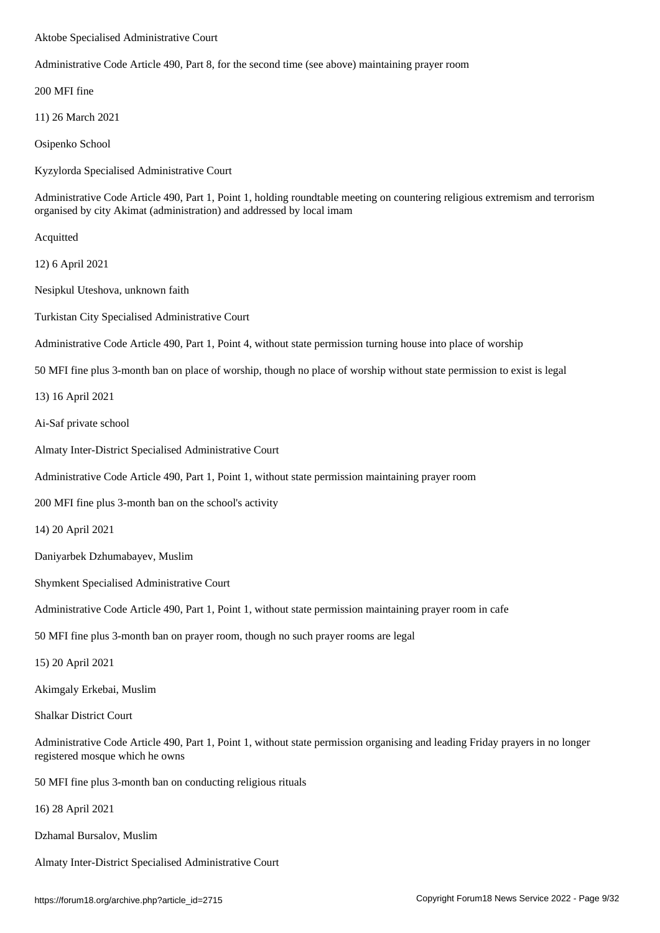Administrative Code Article 490, Part 8, for the second time (see above) maintaining prayer room

200 MFI fine

11) 26 March 2021

Osipenko School

Kyzylorda Specialised Administrative Court

Administrative Code Article 490, Part 1, Point 1, holding roundtable meeting on countering religious extremism and terrorism organised by city Akimat (administration) and addressed by local imam

Acquitted

12) 6 April 2021

Nesipkul Uteshova, unknown faith

Turkistan City Specialised Administrative Court

Administrative Code Article 490, Part 1, Point 4, without state permission turning house into place of worship

50 MFI fine plus 3-month ban on place of worship, though no place of worship without state permission to exist is legal

13) 16 April 2021

Ai-Saf private school

Almaty Inter-District Specialised Administrative Court

Administrative Code Article 490, Part 1, Point 1, without state permission maintaining prayer room

200 MFI fine plus 3-month ban on the school's activity

14) 20 April 2021

Daniyarbek Dzhumabayev, Muslim

Shymkent Specialised Administrative Court

Administrative Code Article 490, Part 1, Point 1, without state permission maintaining prayer room in cafe

50 MFI fine plus 3-month ban on prayer room, though no such prayer rooms are legal

15) 20 April 2021

Akimgaly Erkebai, Muslim

Shalkar District Court

Administrative Code Article 490, Part 1, Point 1, without state permission organising and leading Friday prayers in no longer registered mosque which he owns

50 MFI fine plus 3-month ban on conducting religious rituals

16) 28 April 2021

Dzhamal Bursalov, Muslim

Almaty Inter-District Specialised Administrative Court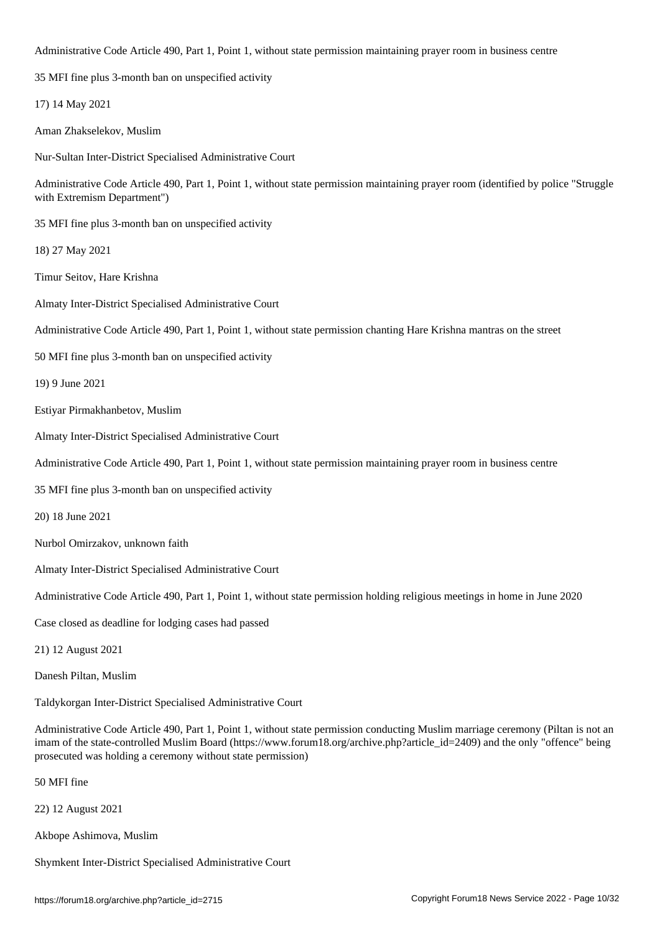$\mathcal{P}$  are 1, Point 1, Point 1, Point 1, without state permission maintaining permission maintaining prayer room in business centre. The state permission maintain  $\mathcal{P}$ 

35 MFI fine plus 3-month ban on unspecified activity

17) 14 May 2021

Aman Zhakselekov, Muslim

Nur-Sultan Inter-District Specialised Administrative Court

Administrative Code Article 490, Part 1, Point 1, without state permission maintaining prayer room (identified by police "Struggle with Extremism Department")

35 MFI fine plus 3-month ban on unspecified activity

18) 27 May 2021

Timur Seitov, Hare Krishna

Almaty Inter-District Specialised Administrative Court

Administrative Code Article 490, Part 1, Point 1, without state permission chanting Hare Krishna mantras on the street

50 MFI fine plus 3-month ban on unspecified activity

19) 9 June 2021

Estiyar Pirmakhanbetov, Muslim

Almaty Inter-District Specialised Administrative Court

Administrative Code Article 490, Part 1, Point 1, without state permission maintaining prayer room in business centre

35 MFI fine plus 3-month ban on unspecified activity

20) 18 June 2021

Nurbol Omirzakov, unknown faith

Almaty Inter-District Specialised Administrative Court

Administrative Code Article 490, Part 1, Point 1, without state permission holding religious meetings in home in June 2020

Case closed as deadline for lodging cases had passed

21) 12 August 2021

Danesh Piltan, Muslim

Taldykorgan Inter-District Specialised Administrative Court

Administrative Code Article 490, Part 1, Point 1, without state permission conducting Muslim marriage ceremony (Piltan is not an imam of the state-controlled Muslim Board (https://www.forum18.org/archive.php?article\_id=2409) and the only "offence" being prosecuted was holding a ceremony without state permission)

50 MFI fine

22) 12 August 2021

Akbope Ashimova, Muslim

Shymkent Inter-District Specialised Administrative Court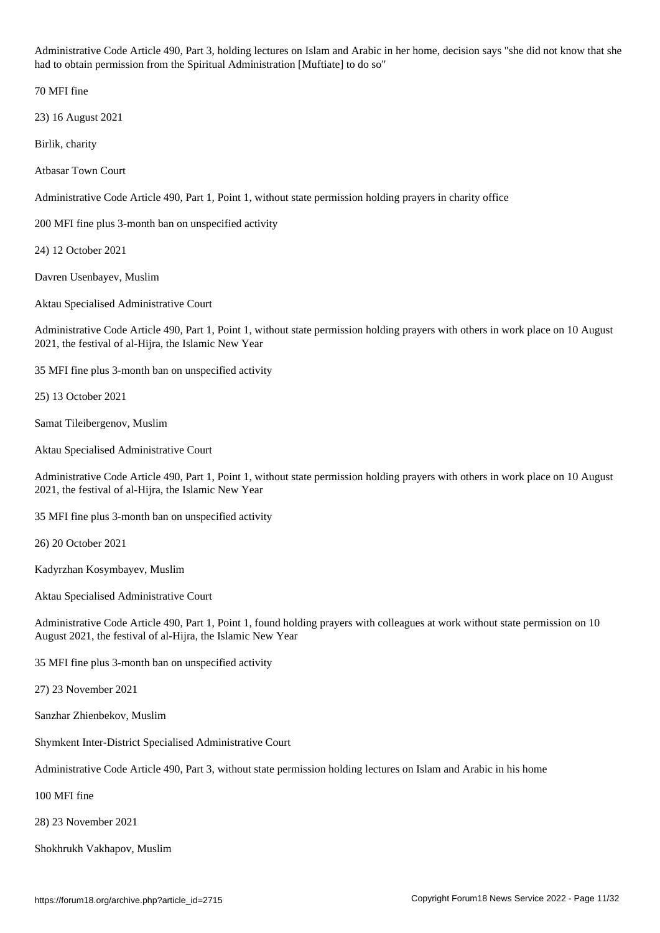Administrative Code Article 490, Part 3, holding lectures on Islam and Arabic in her home, decision says "she did not know that she had to obtain permission from the Spiritual Administration [Muftiate] to do so"

70 MFI fine

23) 16 August 2021

Birlik, charity

Atbasar Town Court

Administrative Code Article 490, Part 1, Point 1, without state permission holding prayers in charity office

200 MFI fine plus 3-month ban on unspecified activity

24) 12 October 2021

Davren Usenbayev, Muslim

Aktau Specialised Administrative Court

Administrative Code Article 490, Part 1, Point 1, without state permission holding prayers with others in work place on 10 August 2021, the festival of al-Hijra, the Islamic New Year

35 MFI fine plus 3-month ban on unspecified activity

25) 13 October 2021

Samat Tileibergenov, Muslim

Aktau Specialised Administrative Court

Administrative Code Article 490, Part 1, Point 1, without state permission holding prayers with others in work place on 10 August 2021, the festival of al-Hijra, the Islamic New Year

35 MFI fine plus 3-month ban on unspecified activity

26) 20 October 2021

Kadyrzhan Kosymbayev, Muslim

Aktau Specialised Administrative Court

Administrative Code Article 490, Part 1, Point 1, found holding prayers with colleagues at work without state permission on 10 August 2021, the festival of al-Hijra, the Islamic New Year

35 MFI fine plus 3-month ban on unspecified activity

27) 23 November 2021

Sanzhar Zhienbekov, Muslim

Shymkent Inter-District Specialised Administrative Court

Administrative Code Article 490, Part 3, without state permission holding lectures on Islam and Arabic in his home

100 MFI fine

28) 23 November 2021

Shokhrukh Vakhapov, Muslim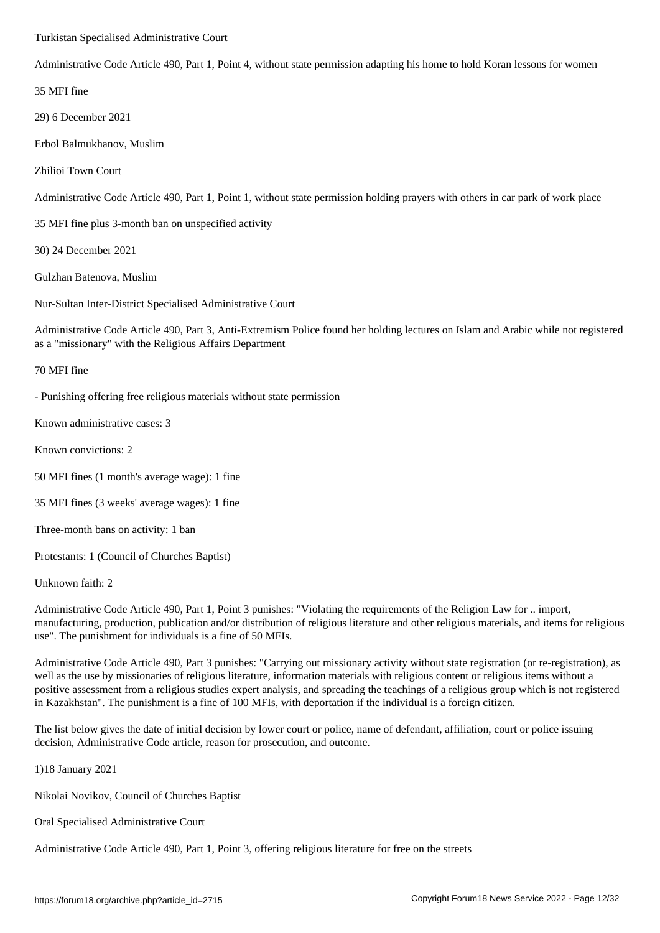Administrative Code Article 490, Part 1, Point 4, without state permission adapting his home to hold Koran lessons for women

35 MFI fine

29) 6 December 2021

Erbol Balmukhanov, Muslim

Zhilioi Town Court

Administrative Code Article 490, Part 1, Point 1, without state permission holding prayers with others in car park of work place

35 MFI fine plus 3-month ban on unspecified activity

30) 24 December 2021

Gulzhan Batenova, Muslim

Nur-Sultan Inter-District Specialised Administrative Court

Administrative Code Article 490, Part 3, Anti-Extremism Police found her holding lectures on Islam and Arabic while not registered as a "missionary" with the Religious Affairs Department

70 MFI fine

- Punishing offering free religious materials without state permission

Known administrative cases: 3

Known convictions: 2

50 MFI fines (1 month's average wage): 1 fine

35 MFI fines (3 weeks' average wages): 1 fine

Three-month bans on activity: 1 ban

Protestants: 1 (Council of Churches Baptist)

Unknown faith: 2

Administrative Code Article 490, Part 1, Point 3 punishes: "Violating the requirements of the Religion Law for .. import, manufacturing, production, publication and/or distribution of religious literature and other religious materials, and items for religious use". The punishment for individuals is a fine of 50 MFIs.

Administrative Code Article 490, Part 3 punishes: "Carrying out missionary activity without state registration (or re-registration), as well as the use by missionaries of religious literature, information materials with religious content or religious items without a positive assessment from a religious studies expert analysis, and spreading the teachings of a religious group which is not registered in Kazakhstan". The punishment is a fine of 100 MFIs, with deportation if the individual is a foreign citizen.

The list below gives the date of initial decision by lower court or police, name of defendant, affiliation, court or police issuing decision, Administrative Code article, reason for prosecution, and outcome.

1)18 January 2021

Nikolai Novikov, Council of Churches Baptist

Oral Specialised Administrative Court

Administrative Code Article 490, Part 1, Point 3, offering religious literature for free on the streets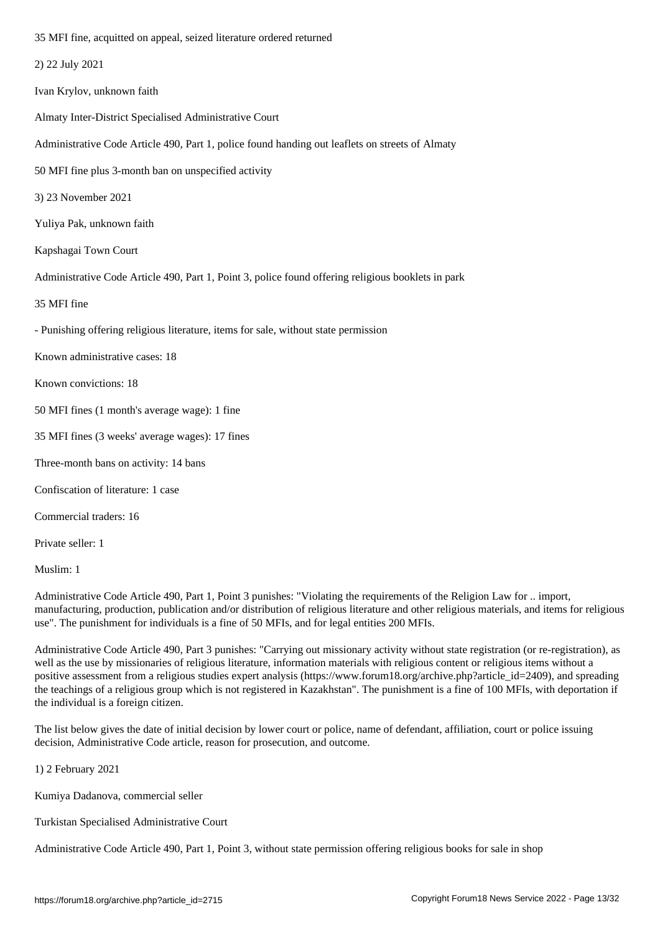|  |  |  | 2) 22 July 2021 |  |
|--|--|--|-----------------|--|
|--|--|--|-----------------|--|

Ivan Krylov, unknown faith

Almaty Inter-District Specialised Administrative Court

Administrative Code Article 490, Part 1, police found handing out leaflets on streets of Almaty

50 MFI fine plus 3-month ban on unspecified activity

3) 23 November 2021

Yuliya Pak, unknown faith

Kapshagai Town Court

Administrative Code Article 490, Part 1, Point 3, police found offering religious booklets in park

35 MFI fine

- Punishing offering religious literature, items for sale, without state permission

Known administrative cases: 18

Known convictions: 18

50 MFI fines (1 month's average wage): 1 fine

35 MFI fines (3 weeks' average wages): 17 fines

Three-month bans on activity: 14 bans

Confiscation of literature: 1 case

Commercial traders: 16

Private seller: 1

Muslim: 1

Administrative Code Article 490, Part 1, Point 3 punishes: "Violating the requirements of the Religion Law for .. import, manufacturing, production, publication and/or distribution of religious literature and other religious materials, and items for religious use". The punishment for individuals is a fine of 50 MFIs, and for legal entities 200 MFIs.

Administrative Code Article 490, Part 3 punishes: "Carrying out missionary activity without state registration (or re-registration), as well as the use by missionaries of religious literature, information materials with religious content or religious items without a positive assessment from a religious studies expert analysis (https://www.forum18.org/archive.php?article\_id=2409), and spreading the teachings of a religious group which is not registered in Kazakhstan". The punishment is a fine of 100 MFIs, with deportation if the individual is a foreign citizen.

The list below gives the date of initial decision by lower court or police, name of defendant, affiliation, court or police issuing decision, Administrative Code article, reason for prosecution, and outcome.

1) 2 February 2021

Kumiya Dadanova, commercial seller

Turkistan Specialised Administrative Court

Administrative Code Article 490, Part 1, Point 3, without state permission offering religious books for sale in shop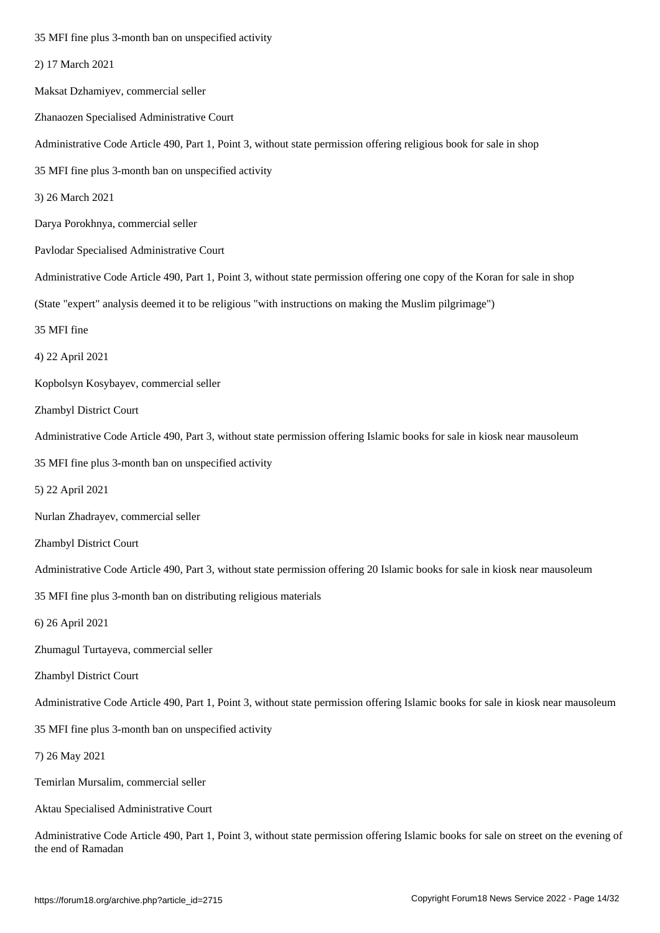| 2) 17 March 2021                                                                                                                                             |
|--------------------------------------------------------------------------------------------------------------------------------------------------------------|
| Maksat Dzhamiyev, commercial seller                                                                                                                          |
| Zhanaozen Specialised Administrative Court                                                                                                                   |
| Administrative Code Article 490, Part 1, Point 3, without state permission offering religious book for sale in shop                                          |
| 35 MFI fine plus 3-month ban on unspecified activity                                                                                                         |
| 3) 26 March 2021                                                                                                                                             |
| Darya Porokhnya, commercial seller                                                                                                                           |
| Pavlodar Specialised Administrative Court                                                                                                                    |
| Administrative Code Article 490, Part 1, Point 3, without state permission offering one copy of the Koran for sale in shop                                   |
| (State "expert" analysis deemed it to be religious "with instructions on making the Muslim pilgrimage")                                                      |
| 35 MFI fine                                                                                                                                                  |
| 4) 22 April 2021                                                                                                                                             |
| Kopbolsyn Kosybayev, commercial seller                                                                                                                       |
| Zhambyl District Court                                                                                                                                       |
| Administrative Code Article 490, Part 3, without state permission offering Islamic books for sale in kiosk near mausoleum                                    |
| 35 MFI fine plus 3-month ban on unspecified activity                                                                                                         |
| 5) 22 April 2021                                                                                                                                             |
| Nurlan Zhadrayev, commercial seller                                                                                                                          |
| Zhambyl District Court                                                                                                                                       |
| Administrative Code Article 490, Part 3, without state permission offering 20 Islamic books for sale in kiosk near mausoleum                                 |
| 35 MFI fine plus 3-month ban on distributing religious materials                                                                                             |
| 6) 26 April 2021                                                                                                                                             |
| Zhumagul Turtayeva, commercial seller                                                                                                                        |
| Zhambyl District Court                                                                                                                                       |
| Administrative Code Article 490, Part 1, Point 3, without state permission offering Islamic books for sale in kiosk near mausoleum                           |
| 35 MFI fine plus 3-month ban on unspecified activity                                                                                                         |
| 7) 26 May 2021                                                                                                                                               |
| Temirlan Mursalim, commercial seller                                                                                                                         |
| Aktau Specialised Administrative Court                                                                                                                       |
| Administrative Code Article 490, Part 1, Point 3, without state permission offering Islamic books for sale on street on the evening of<br>the end of Ramadan |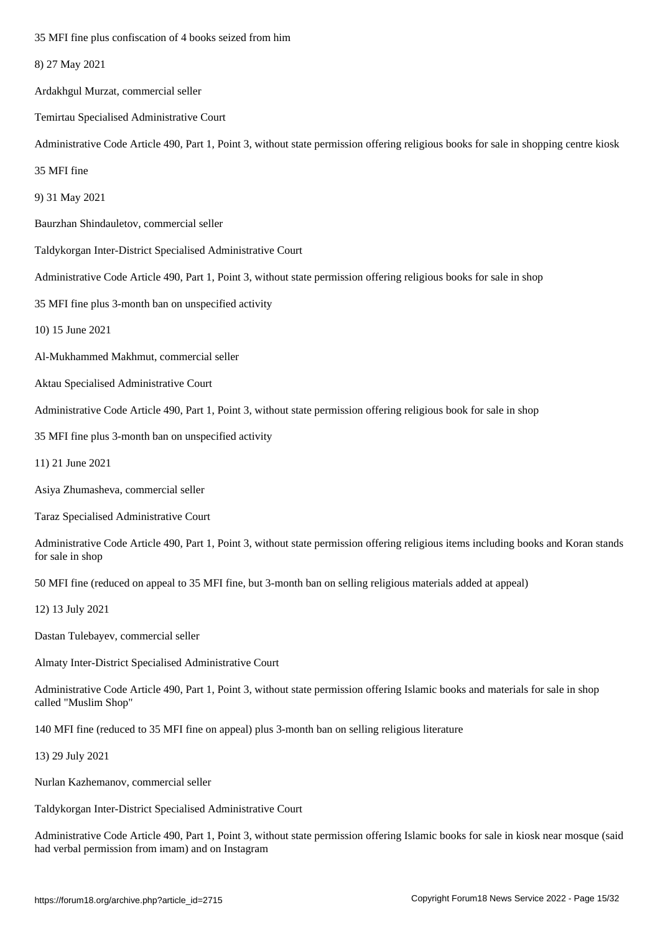- 8) 27 May 2021
- Ardakhgul Murzat, commercial seller
- Temirtau Specialised Administrative Court
- Administrative Code Article 490, Part 1, Point 3, without state permission offering religious books for sale in shopping centre kiosk
- 35 MFI fine
- 9) 31 May 2021
- Baurzhan Shindauletov, commercial seller
- Taldykorgan Inter-District Specialised Administrative Court
- Administrative Code Article 490, Part 1, Point 3, without state permission offering religious books for sale in shop
- 35 MFI fine plus 3-month ban on unspecified activity
- 10) 15 June 2021
- Al-Mukhammed Makhmut, commercial seller
- Aktau Specialised Administrative Court
- Administrative Code Article 490, Part 1, Point 3, without state permission offering religious book for sale in shop
- 35 MFI fine plus 3-month ban on unspecified activity
- 11) 21 June 2021
- Asiya Zhumasheva, commercial seller
- Taraz Specialised Administrative Court
- Administrative Code Article 490, Part 1, Point 3, without state permission offering religious items including books and Koran stands for sale in shop
- 50 MFI fine (reduced on appeal to 35 MFI fine, but 3-month ban on selling religious materials added at appeal)
- 12) 13 July 2021
- Dastan Tulebayev, commercial seller
- Almaty Inter-District Specialised Administrative Court
- Administrative Code Article 490, Part 1, Point 3, without state permission offering Islamic books and materials for sale in shop called "Muslim Shop"
- 140 MFI fine (reduced to 35 MFI fine on appeal) plus 3-month ban on selling religious literature
- 13) 29 July 2021
- Nurlan Kazhemanov, commercial seller
- Taldykorgan Inter-District Specialised Administrative Court
- Administrative Code Article 490, Part 1, Point 3, without state permission offering Islamic books for sale in kiosk near mosque (said had verbal permission from imam) and on Instagram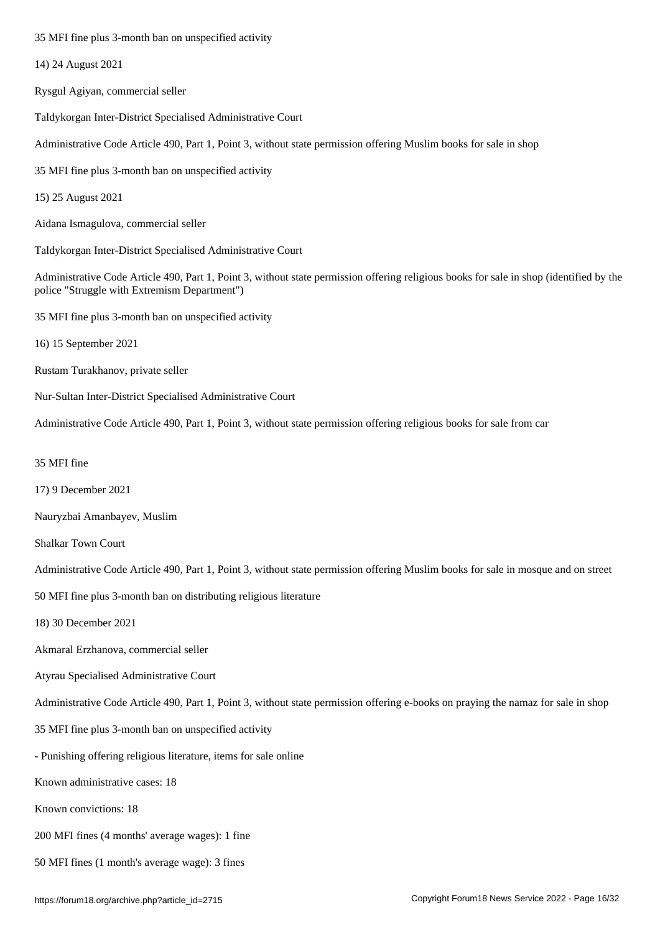- 14) 24 August 2021
- Rysgul Agiyan, commercial seller
- Taldykorgan Inter-District Specialised Administrative Court
- Administrative Code Article 490, Part 1, Point 3, without state permission offering Muslim books for sale in shop
- 35 MFI fine plus 3-month ban on unspecified activity
- 15) 25 August 2021
- Aidana Ismagulova, commercial seller
- Taldykorgan Inter-District Specialised Administrative Court

Administrative Code Article 490, Part 1, Point 3, without state permission offering religious books for sale in shop (identified by the police "Struggle with Extremism Department")

- 35 MFI fine plus 3-month ban on unspecified activity
- 16) 15 September 2021
- Rustam Turakhanov, private seller
- Nur-Sultan Inter-District Specialised Administrative Court
- Administrative Code Article 490, Part 1, Point 3, without state permission offering religious books for sale from car
- 35 MFI fine
- 17) 9 December 2021
- Nauryzbai Amanbayev, Muslim
- Shalkar Town Court
- Administrative Code Article 490, Part 1, Point 3, without state permission offering Muslim books for sale in mosque and on street
- 50 MFI fine plus 3-month ban on distributing religious literature
- 18) 30 December 2021
- Akmaral Erzhanova, commercial seller
- Atyrau Specialised Administrative Court
- Administrative Code Article 490, Part 1, Point 3, without state permission offering e-books on praying the namaz for sale in shop
- 35 MFI fine plus 3-month ban on unspecified activity
- Punishing offering religious literature, items for sale online
- Known administrative cases: 18
- Known convictions: 18
- 200 MFI fines (4 months' average wages): 1 fine
- 50 MFI fines (1 month's average wage): 3 fines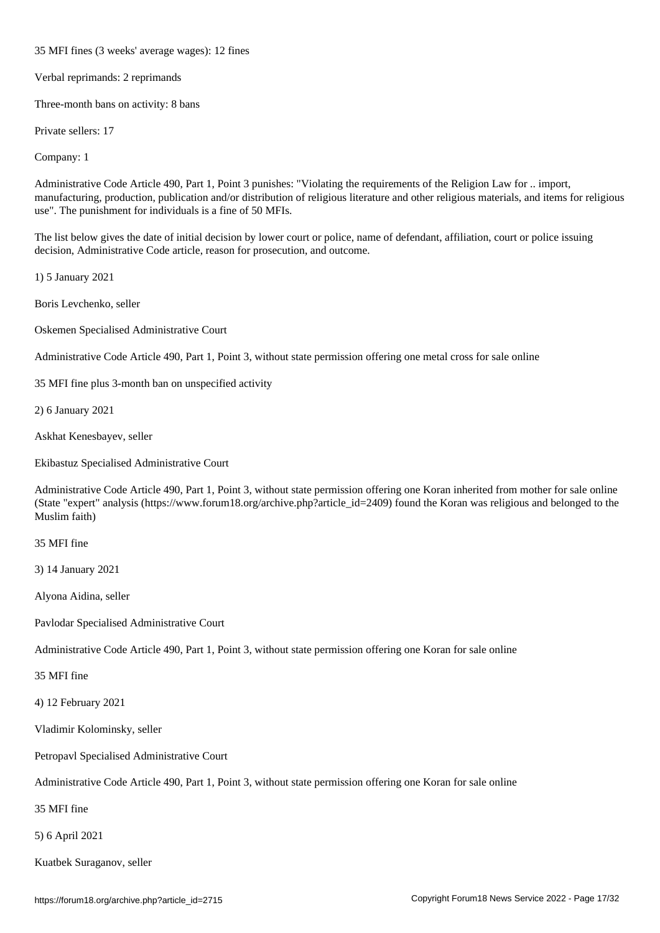35 MFI fines (3 weeks' average wages): 12 fines

Verbal reprimands: 2 reprimands

Three-month bans on activity: 8 bans

Private sellers: 17

Company: 1

Administrative Code Article 490, Part 1, Point 3 punishes: "Violating the requirements of the Religion Law for .. import, manufacturing, production, publication and/or distribution of religious literature and other religious materials, and items for religious use". The punishment for individuals is a fine of 50 MFIs.

The list below gives the date of initial decision by lower court or police, name of defendant, affiliation, court or police issuing decision, Administrative Code article, reason for prosecution, and outcome.

1) 5 January 2021

Boris Levchenko, seller

Oskemen Specialised Administrative Court

Administrative Code Article 490, Part 1, Point 3, without state permission offering one metal cross for sale online

35 MFI fine plus 3-month ban on unspecified activity

2) 6 January 2021

Askhat Kenesbayev, seller

Ekibastuz Specialised Administrative Court

Administrative Code Article 490, Part 1, Point 3, without state permission offering one Koran inherited from mother for sale online (State "expert" analysis (https://www.forum18.org/archive.php?article\_id=2409) found the Koran was religious and belonged to the Muslim faith)

35 MFI fine

3) 14 January 2021

Alyona Aidina, seller

Pavlodar Specialised Administrative Court

Administrative Code Article 490, Part 1, Point 3, without state permission offering one Koran for sale online

35 MFI fine

4) 12 February 2021

Vladimir Kolominsky, seller

Petropavl Specialised Administrative Court

Administrative Code Article 490, Part 1, Point 3, without state permission offering one Koran for sale online

35 MFI fine

5) 6 April 2021

Kuatbek Suraganov, seller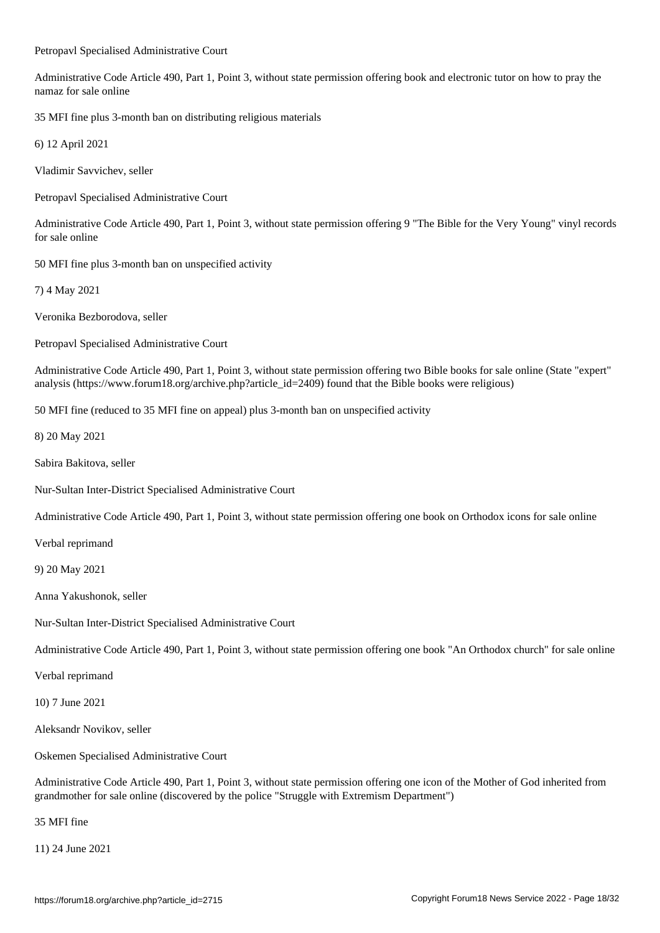Petropavl Specialised Administrative Court

Administrative Code Article 490, Part 1, Point 3, without state permission offering book and electronic tutor on how to pray the namaz for sale online

35 MFI fine plus 3-month ban on distributing religious materials

6) 12 April 2021

Vladimir Savvichev, seller

Petropavl Specialised Administrative Court

Administrative Code Article 490, Part 1, Point 3, without state permission offering 9 "The Bible for the Very Young" vinyl records for sale online

50 MFI fine plus 3-month ban on unspecified activity

7) 4 May 2021

Veronika Bezborodova, seller

Petropavl Specialised Administrative Court

Administrative Code Article 490, Part 1, Point 3, without state permission offering two Bible books for sale online (State "expert" analysis (https://www.forum18.org/archive.php?article\_id=2409) found that the Bible books were religious)

50 MFI fine (reduced to 35 MFI fine on appeal) plus 3-month ban on unspecified activity

8) 20 May 2021

Sabira Bakitova, seller

Nur-Sultan Inter-District Specialised Administrative Court

Administrative Code Article 490, Part 1, Point 3, without state permission offering one book on Orthodox icons for sale online

Verbal reprimand

9) 20 May 2021

Anna Yakushonok, seller

Nur-Sultan Inter-District Specialised Administrative Court

Administrative Code Article 490, Part 1, Point 3, without state permission offering one book "An Orthodox church" for sale online

Verbal reprimand

10) 7 June 2021

Aleksandr Novikov, seller

Oskemen Specialised Administrative Court

Administrative Code Article 490, Part 1, Point 3, without state permission offering one icon of the Mother of God inherited from grandmother for sale online (discovered by the police "Struggle with Extremism Department")

35 MFI fine

11) 24 June 2021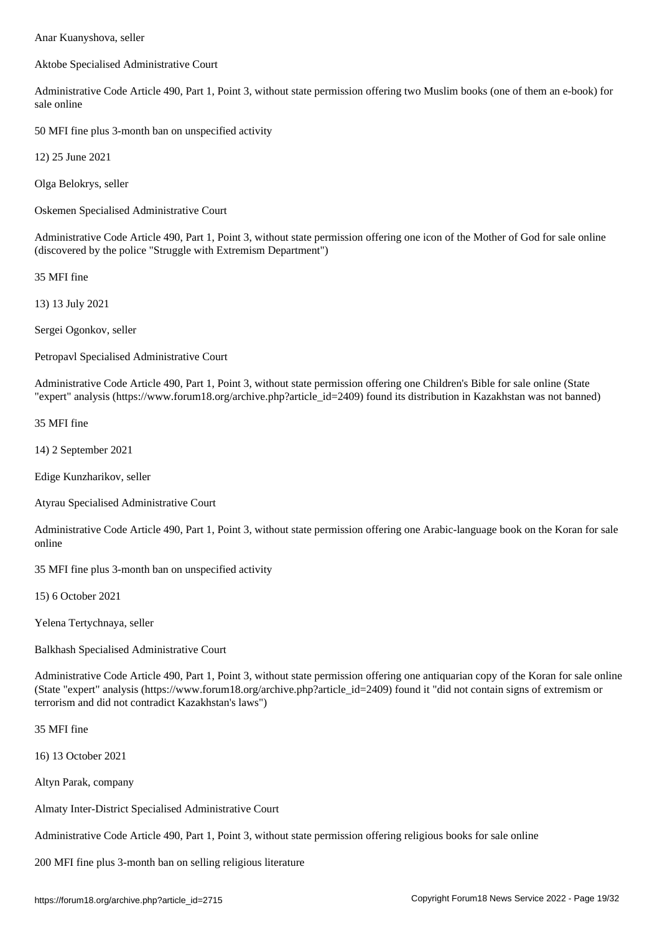Aktobe Specialised Administrative Court

Administrative Code Article 490, Part 1, Point 3, without state permission offering two Muslim books (one of them an e-book) for sale online

50 MFI fine plus 3-month ban on unspecified activity

12) 25 June 2021

Olga Belokrys, seller

Oskemen Specialised Administrative Court

Administrative Code Article 490, Part 1, Point 3, without state permission offering one icon of the Mother of God for sale online (discovered by the police "Struggle with Extremism Department")

35 MFI fine

13) 13 July 2021

Sergei Ogonkov, seller

Petropavl Specialised Administrative Court

Administrative Code Article 490, Part 1, Point 3, without state permission offering one Children's Bible for sale online (State "expert" analysis (https://www.forum18.org/archive.php?article\_id=2409) found its distribution in Kazakhstan was not banned)

35 MFI fine

14) 2 September 2021

Edige Kunzharikov, seller

Atyrau Specialised Administrative Court

Administrative Code Article 490, Part 1, Point 3, without state permission offering one Arabic-language book on the Koran for sale online

35 MFI fine plus 3-month ban on unspecified activity

15) 6 October 2021

Yelena Tertychnaya, seller

Balkhash Specialised Administrative Court

Administrative Code Article 490, Part 1, Point 3, without state permission offering one antiquarian copy of the Koran for sale online (State "expert" analysis (https://www.forum18.org/archive.php?article\_id=2409) found it "did not contain signs of extremism or terrorism and did not contradict Kazakhstan's laws")

35 MFI fine

16) 13 October 2021

Altyn Parak, company

Almaty Inter-District Specialised Administrative Court

Administrative Code Article 490, Part 1, Point 3, without state permission offering religious books for sale online

200 MFI fine plus 3-month ban on selling religious literature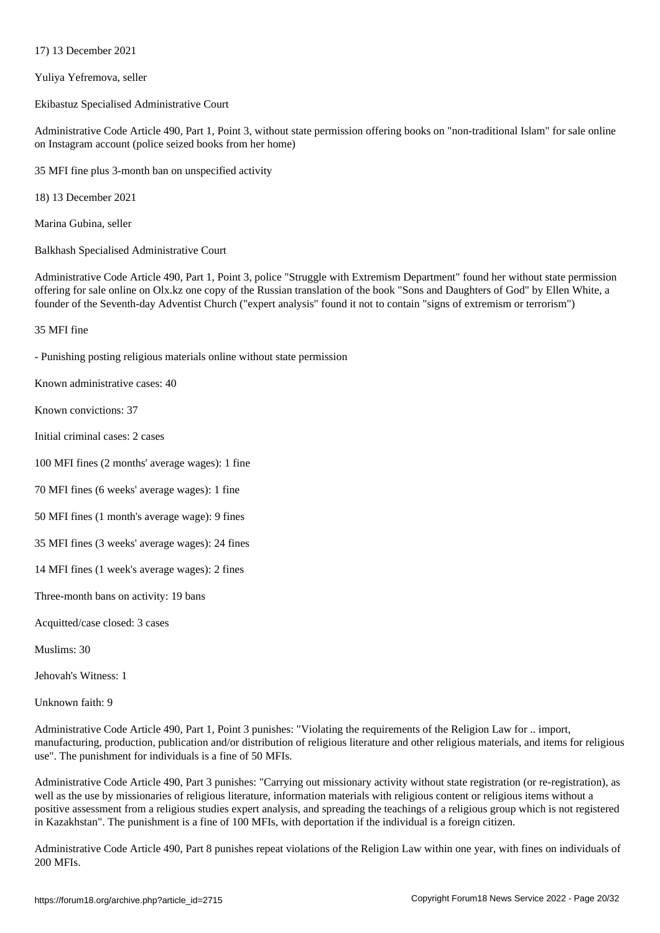Yuliya Yefremova, seller

 $17$  December 2021  $\sigma$ 

Ekibastuz Specialised Administrative Court

Administrative Code Article 490, Part 1, Point 3, without state permission offering books on "non-traditional Islam" for sale online on Instagram account (police seized books from her home)

35 MFI fine plus 3-month ban on unspecified activity

18) 13 December 2021

Marina Gubina, seller

Balkhash Specialised Administrative Court

Administrative Code Article 490, Part 1, Point 3, police "Struggle with Extremism Department" found her without state permission offering for sale online on Olx.kz one copy of the Russian translation of the book "Sons and Daughters of God" by Ellen White, a founder of the Seventh-day Adventist Church ("expert analysis" found it not to contain "signs of extremism or terrorism")

### 35 MFI fine

- Punishing posting religious materials online without state permission

Known administrative cases: 40

Known convictions: 37

Initial criminal cases: 2 cases

100 MFI fines (2 months' average wages): 1 fine

70 MFI fines (6 weeks' average wages): 1 fine

50 MFI fines (1 month's average wage): 9 fines

35 MFI fines (3 weeks' average wages): 24 fines

14 MFI fines (1 week's average wages): 2 fines

Three-month bans on activity: 19 bans

Acquitted/case closed: 3 cases

Muslims: 30

Jehovah's Witness: 1

Unknown faith: 9

Administrative Code Article 490, Part 1, Point 3 punishes: "Violating the requirements of the Religion Law for .. import, manufacturing, production, publication and/or distribution of religious literature and other religious materials, and items for religious use". The punishment for individuals is a fine of 50 MFIs.

Administrative Code Article 490, Part 3 punishes: "Carrying out missionary activity without state registration (or re-registration), as well as the use by missionaries of religious literature, information materials with religious content or religious items without a positive assessment from a religious studies expert analysis, and spreading the teachings of a religious group which is not registered in Kazakhstan". The punishment is a fine of 100 MFIs, with deportation if the individual is a foreign citizen.

Administrative Code Article 490, Part 8 punishes repeat violations of the Religion Law within one year, with fines on individuals of 200 MFIs.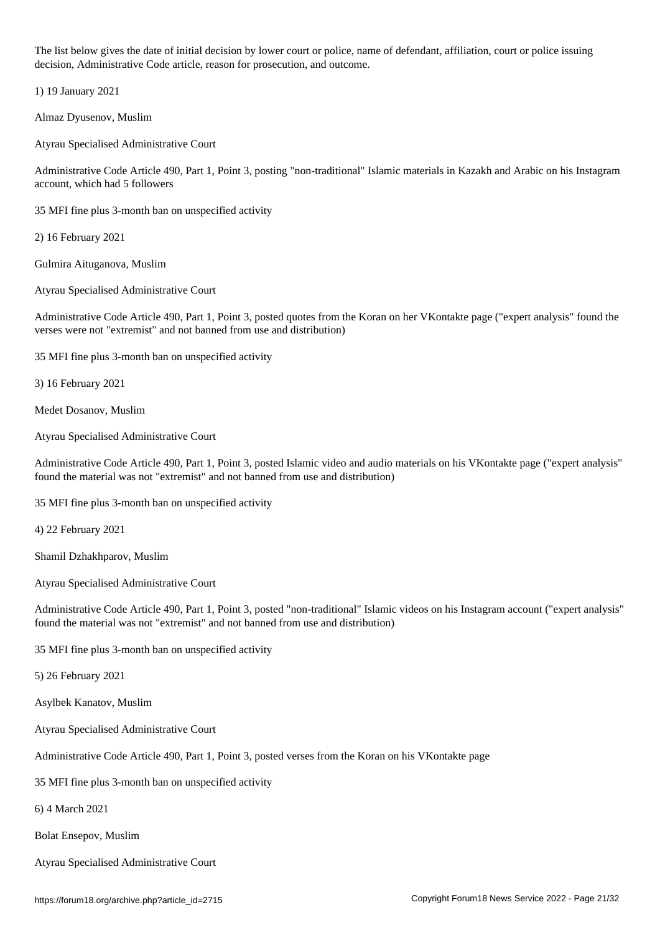The list below gives the date of initial decision by lower court or police, name of defendant, affiliation, court or police issuing decision, Administrative Code article, reason for prosecution, and outcome.

1) 19 January 2021

Almaz Dyusenov, Muslim

Atyrau Specialised Administrative Court

Administrative Code Article 490, Part 1, Point 3, posting "non-traditional" Islamic materials in Kazakh and Arabic on his Instagram account, which had 5 followers

35 MFI fine plus 3-month ban on unspecified activity

2) 16 February 2021

Gulmira Aituganova, Muslim

Atyrau Specialised Administrative Court

Administrative Code Article 490, Part 1, Point 3, posted quotes from the Koran on her VKontakte page ("expert analysis" found the verses were not "extremist" and not banned from use and distribution)

35 MFI fine plus 3-month ban on unspecified activity

3) 16 February 2021

Medet Dosanov, Muslim

Atyrau Specialised Administrative Court

Administrative Code Article 490, Part 1, Point 3, posted Islamic video and audio materials on his VKontakte page ("expert analysis" found the material was not "extremist" and not banned from use and distribution)

35 MFI fine plus 3-month ban on unspecified activity

4) 22 February 2021

Shamil Dzhakhparov, Muslim

Atyrau Specialised Administrative Court

Administrative Code Article 490, Part 1, Point 3, posted "non-traditional" Islamic videos on his Instagram account ("expert analysis" found the material was not "extremist" and not banned from use and distribution)

35 MFI fine plus 3-month ban on unspecified activity

5) 26 February 2021

Asylbek Kanatov, Muslim

Atyrau Specialised Administrative Court

Administrative Code Article 490, Part 1, Point 3, posted verses from the Koran on his VKontakte page

35 MFI fine plus 3-month ban on unspecified activity

6) 4 March 2021

Bolat Ensepov, Muslim

Atyrau Specialised Administrative Court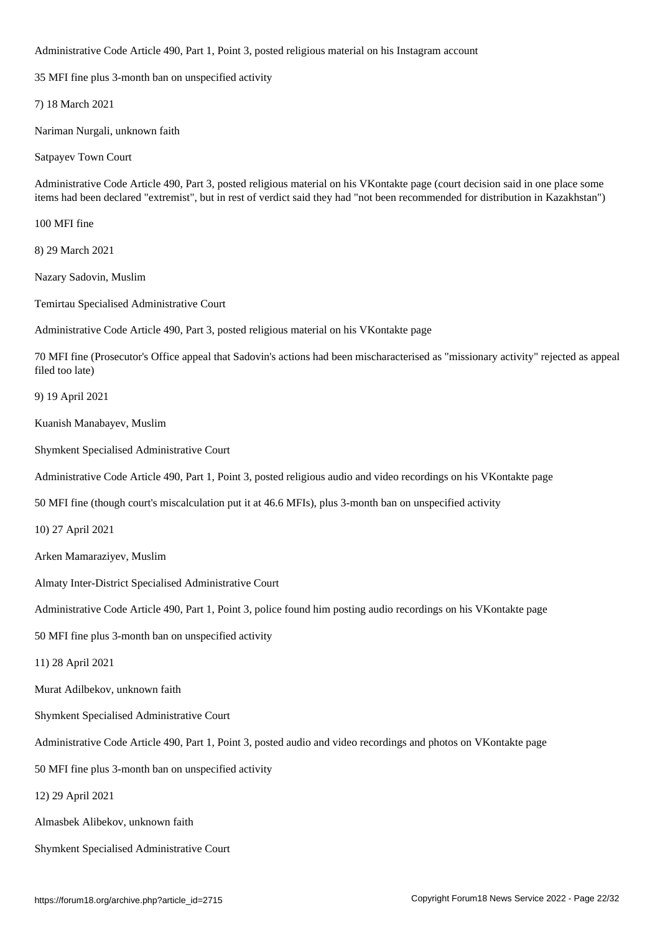Administrative Code Article 490, Part 1, Point 3, posted religious material on his Instagram account

35 MFI fine plus 3-month ban on unspecified activity

7) 18 March 2021

Nariman Nurgali, unknown faith

Satpayev Town Court

Administrative Code Article 490, Part 3, posted religious material on his VKontakte page (court decision said in one place some items had been declared "extremist", but in rest of verdict said they had "not been recommended for distribution in Kazakhstan")

100 MFI fine

8) 29 March 2021

Nazary Sadovin, Muslim

Temirtau Specialised Administrative Court

Administrative Code Article 490, Part 3, posted religious material on his VKontakte page

70 MFI fine (Prosecutor's Office appeal that Sadovin's actions had been mischaracterised as "missionary activity" rejected as appeal filed too late)

9) 19 April 2021

Kuanish Manabayev, Muslim

Shymkent Specialised Administrative Court

Administrative Code Article 490, Part 1, Point 3, posted religious audio and video recordings on his VKontakte page

50 MFI fine (though court's miscalculation put it at 46.6 MFIs), plus 3-month ban on unspecified activity

10) 27 April 2021

Arken Mamaraziyev, Muslim

Almaty Inter-District Specialised Administrative Court

Administrative Code Article 490, Part 1, Point 3, police found him posting audio recordings on his VKontakte page

50 MFI fine plus 3-month ban on unspecified activity

11) 28 April 2021

Murat Adilbekov, unknown faith

Shymkent Specialised Administrative Court

Administrative Code Article 490, Part 1, Point 3, posted audio and video recordings and photos on VKontakte page

50 MFI fine plus 3-month ban on unspecified activity

12) 29 April 2021

Almasbek Alibekov, unknown faith

Shymkent Specialised Administrative Court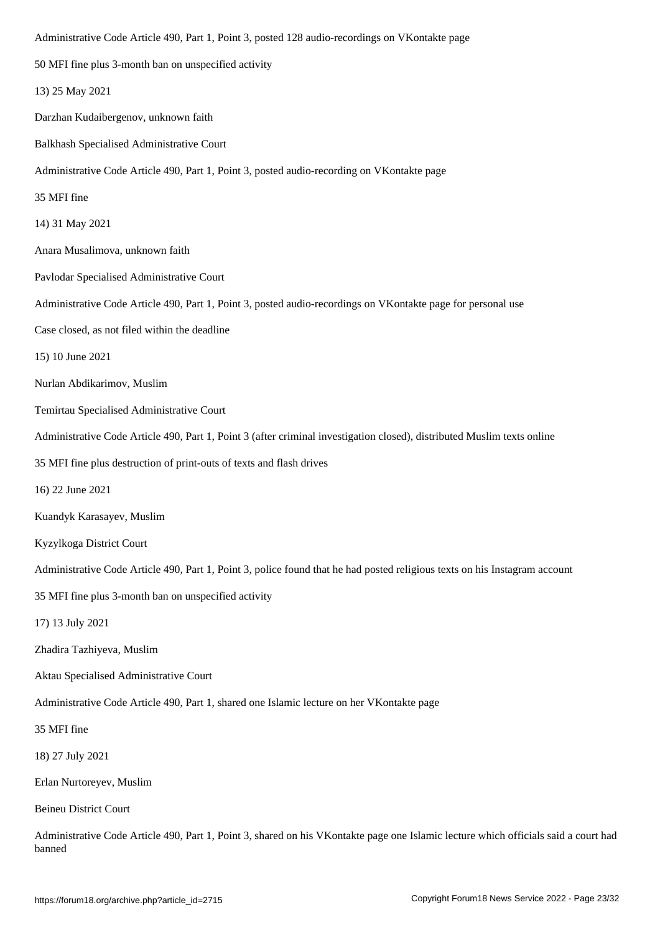| 50 MFI fine plus 3-month ban on unspecified activity                                                                                |
|-------------------------------------------------------------------------------------------------------------------------------------|
| 13) 25 May 2021                                                                                                                     |
| Darzhan Kudaibergenov, unknown faith                                                                                                |
| Balkhash Specialised Administrative Court                                                                                           |
| Administrative Code Article 490, Part 1, Point 3, posted audio-recording on VKontakte page                                          |
| 35 MFI fine                                                                                                                         |
| 14) 31 May 2021                                                                                                                     |
| Anara Musalimova, unknown faith                                                                                                     |
| Pavlodar Specialised Administrative Court                                                                                           |
| Administrative Code Article 490, Part 1, Point 3, posted audio-recordings on VKontakte page for personal use                        |
| Case closed, as not filed within the deadline                                                                                       |
| 15) 10 June 2021                                                                                                                    |
| Nurlan Abdikarimov, Muslim                                                                                                          |
| Temirtau Specialised Administrative Court                                                                                           |
| Administrative Code Article 490, Part 1, Point 3 (after criminal investigation closed), distributed Muslim texts online             |
| 35 MFI fine plus destruction of print-outs of texts and flash drives                                                                |
| 16) 22 June 2021                                                                                                                    |
| Kuandyk Karasayev, Muslim                                                                                                           |
| Kyzylkoga District Court                                                                                                            |
| Administrative Code Article 490, Part 1, Point 3, police found that he had posted religious texts on his Instagram account          |
| 35 MFI fine plus 3-month ban on unspecified activity                                                                                |
| 17) 13 July 2021                                                                                                                    |
| Zhadira Tazhiyeva, Muslim                                                                                                           |
| Aktau Specialised Administrative Court                                                                                              |
| Administrative Code Article 490, Part 1, shared one Islamic lecture on her VKontakte page                                           |
| 35 MFI fine                                                                                                                         |
| 18) 27 July 2021                                                                                                                    |
| Erlan Nurtoreyev, Muslim                                                                                                            |
| <b>Beineu District Court</b>                                                                                                        |
| Administrative Code Article 490, Part 1, Point 3, shared on his VKontakte page one Islamic lecture which officials said a court had |

banned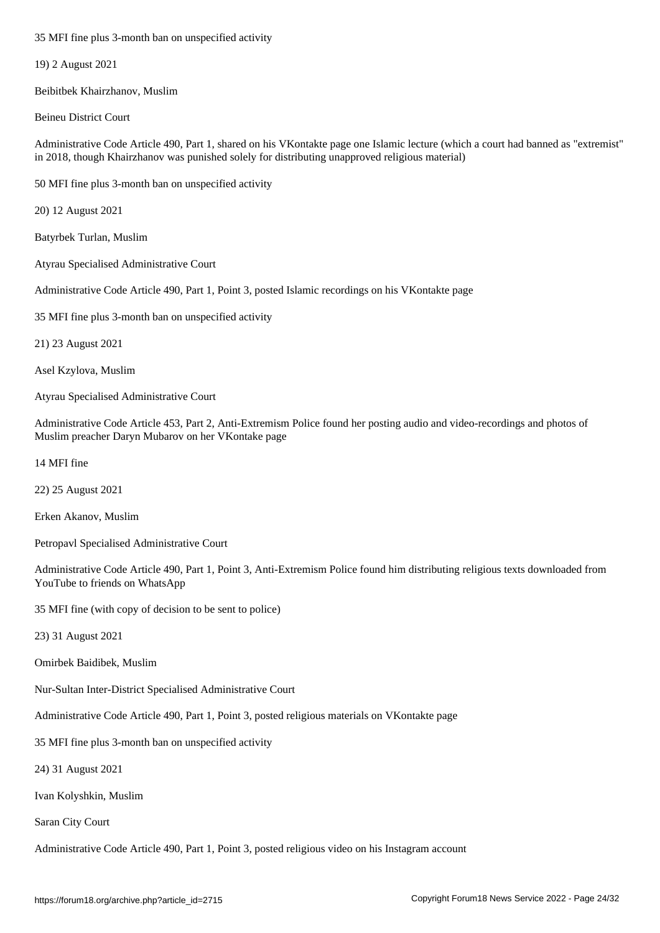19) 2 August 2021

Beibitbek Khairzhanov, Muslim

Beineu District Court

Administrative Code Article 490, Part 1, shared on his VKontakte page one Islamic lecture (which a court had banned as "extremist" in 2018, though Khairzhanov was punished solely for distributing unapproved religious material)

50 MFI fine plus 3-month ban on unspecified activity

20) 12 August 2021

Batyrbek Turlan, Muslim

Atyrau Specialised Administrative Court

Administrative Code Article 490, Part 1, Point 3, posted Islamic recordings on his VKontakte page

35 MFI fine plus 3-month ban on unspecified activity

21) 23 August 2021

Asel Kzylova, Muslim

Atyrau Specialised Administrative Court

Administrative Code Article 453, Part 2, Anti-Extremism Police found her posting audio and video-recordings and photos of Muslim preacher Daryn Mubarov on her VKontake page

14 MFI fine

22) 25 August 2021

Erken Akanov, Muslim

Petropavl Specialised Administrative Court

Administrative Code Article 490, Part 1, Point 3, Anti-Extremism Police found him distributing religious texts downloaded from YouTube to friends on WhatsApp

35 MFI fine (with copy of decision to be sent to police)

23) 31 August 2021

Omirbek Baidibek, Muslim

Nur-Sultan Inter-District Specialised Administrative Court

Administrative Code Article 490, Part 1, Point 3, posted religious materials on VKontakte page

35 MFI fine plus 3-month ban on unspecified activity

24) 31 August 2021

Ivan Kolyshkin, Muslim

Saran City Court

Administrative Code Article 490, Part 1, Point 3, posted religious video on his Instagram account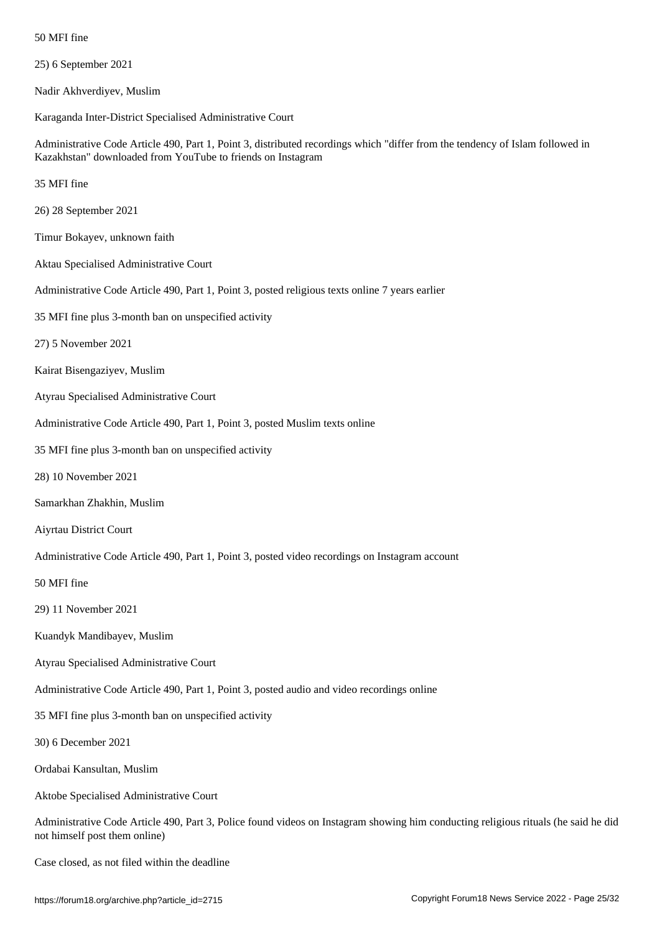| 25) 6 September 2021 |  |  |  |  |
|----------------------|--|--|--|--|
|----------------------|--|--|--|--|

Nadir Akhverdiyev, Muslim

Karaganda Inter-District Specialised Administrative Court

Administrative Code Article 490, Part 1, Point 3, distributed recordings which "differ from the tendency of Islam followed in Kazakhstan" downloaded from YouTube to friends on Instagram

35 MFI fine

26) 28 September 2021

Timur Bokayev, unknown faith

Aktau Specialised Administrative Court

Administrative Code Article 490, Part 1, Point 3, posted religious texts online 7 years earlier

35 MFI fine plus 3-month ban on unspecified activity

27) 5 November 2021

Kairat Bisengaziyev, Muslim

Atyrau Specialised Administrative Court

Administrative Code Article 490, Part 1, Point 3, posted Muslim texts online

35 MFI fine plus 3-month ban on unspecified activity

28) 10 November 2021

Samarkhan Zhakhin, Muslim

Aiyrtau District Court

Administrative Code Article 490, Part 1, Point 3, posted video recordings on Instagram account

50 MFI fine

29) 11 November 2021

Kuandyk Mandibayev, Muslim

Atyrau Specialised Administrative Court

Administrative Code Article 490, Part 1, Point 3, posted audio and video recordings online

35 MFI fine plus 3-month ban on unspecified activity

30) 6 December 2021

Ordabai Kansultan, Muslim

Aktobe Specialised Administrative Court

Administrative Code Article 490, Part 3, Police found videos on Instagram showing him conducting religious rituals (he said he did not himself post them online)

Case closed, as not filed within the deadline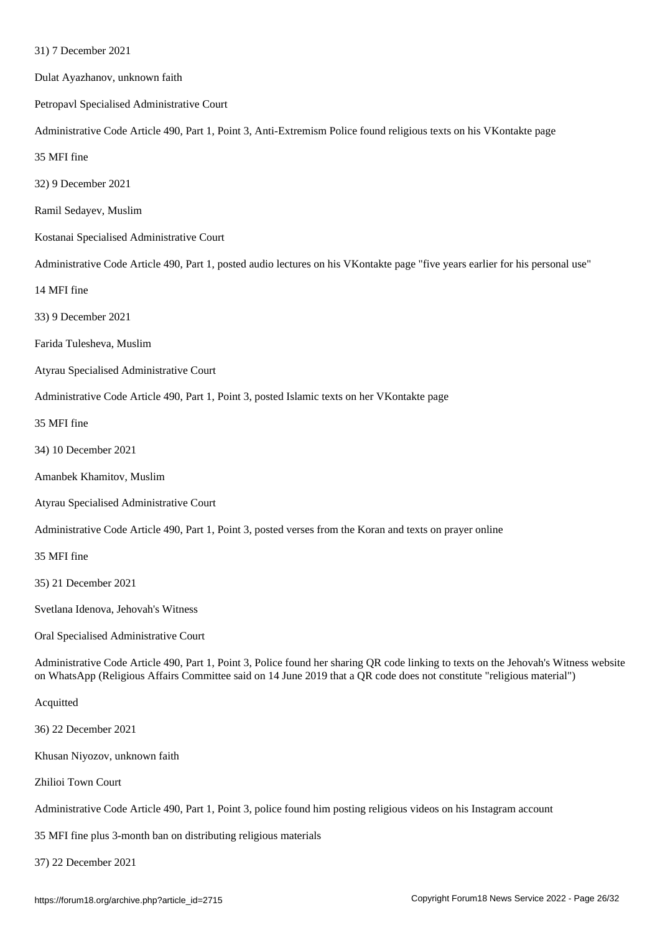| Dulat Ayazhanov, unknown faith                                                                                                                                                                                                                                 |  |
|----------------------------------------------------------------------------------------------------------------------------------------------------------------------------------------------------------------------------------------------------------------|--|
| Petropavl Specialised Administrative Court                                                                                                                                                                                                                     |  |
| Administrative Code Article 490, Part 1, Point 3, Anti-Extremism Police found religious texts on his VKontakte page                                                                                                                                            |  |
| 35 MFI fine                                                                                                                                                                                                                                                    |  |
| 32) 9 December 2021                                                                                                                                                                                                                                            |  |
| Ramil Sedayev, Muslim                                                                                                                                                                                                                                          |  |
| Kostanai Specialised Administrative Court                                                                                                                                                                                                                      |  |
| Administrative Code Article 490, Part 1, posted audio lectures on his VKontakte page "five years earlier for his personal use"                                                                                                                                 |  |
| 14 MFI fine                                                                                                                                                                                                                                                    |  |
| 33) 9 December 2021                                                                                                                                                                                                                                            |  |
| Farida Tulesheva, Muslim                                                                                                                                                                                                                                       |  |
| Atyrau Specialised Administrative Court                                                                                                                                                                                                                        |  |
| Administrative Code Article 490, Part 1, Point 3, posted Islamic texts on her VKontakte page                                                                                                                                                                   |  |
| 35 MFI fine                                                                                                                                                                                                                                                    |  |
| 34) 10 December 2021                                                                                                                                                                                                                                           |  |
| Amanbek Khamitov, Muslim                                                                                                                                                                                                                                       |  |
| Atyrau Specialised Administrative Court                                                                                                                                                                                                                        |  |
| Administrative Code Article 490, Part 1, Point 3, posted verses from the Koran and texts on prayer online                                                                                                                                                      |  |
| 35 MFI fine                                                                                                                                                                                                                                                    |  |
| 35) 21 December 2021                                                                                                                                                                                                                                           |  |
| Svetlana Idenova, Jehovah's Witness                                                                                                                                                                                                                            |  |
| Oral Specialised Administrative Court                                                                                                                                                                                                                          |  |
| Administrative Code Article 490, Part 1, Point 3, Police found her sharing QR code linking to texts on the Jehovah's Witness website<br>on WhatsApp (Religious Affairs Committee said on 14 June 2019 that a QR code does not constitute "religious material") |  |
| Acquitted                                                                                                                                                                                                                                                      |  |
| 36) 22 December 2021                                                                                                                                                                                                                                           |  |

Khusan Niyozov, unknown faith

Zhilioi Town Court

Administrative Code Article 490, Part 1, Point 3, police found him posting religious videos on his Instagram account

35 MFI fine plus 3-month ban on distributing religious materials

37) 22 December 2021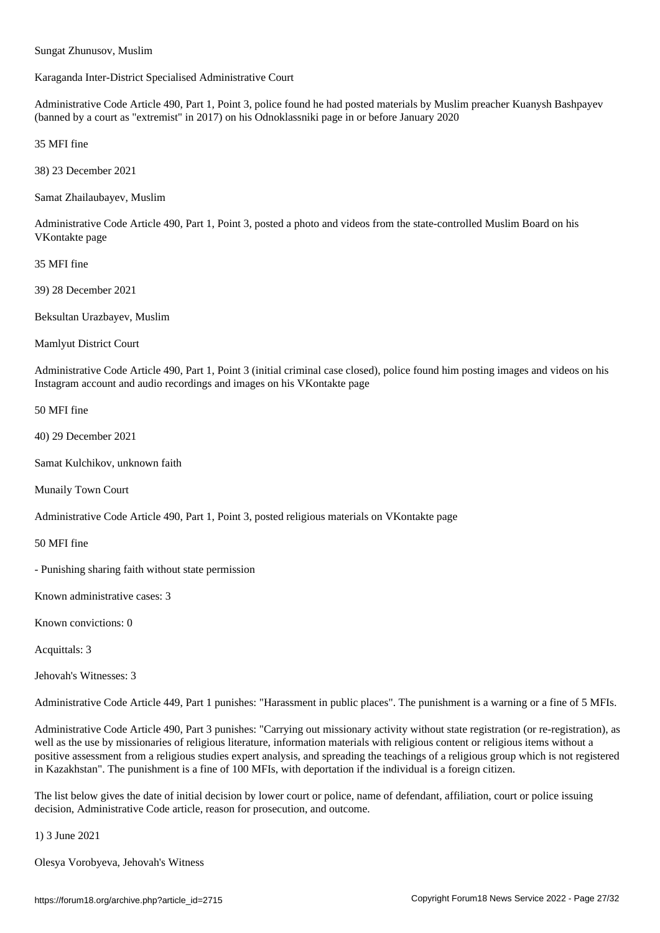Sungat Zhunusov, Muslim

Karaganda Inter-District Specialised Administrative Court

Administrative Code Article 490, Part 1, Point 3, police found he had posted materials by Muslim preacher Kuanysh Bashpayev (banned by a court as "extremist" in 2017) on his Odnoklassniki page in or before January 2020

35 MFI fine

38) 23 December 2021

Samat Zhailaubayev, Muslim

Administrative Code Article 490, Part 1, Point 3, posted a photo and videos from the state-controlled Muslim Board on his VKontakte page

35 MFI fine

39) 28 December 2021

Beksultan Urazbayev, Muslim

Mamlyut District Court

Administrative Code Article 490, Part 1, Point 3 (initial criminal case closed), police found him posting images and videos on his Instagram account and audio recordings and images on his VKontakte page

50 MFI fine

40) 29 December 2021

Samat Kulchikov, unknown faith

Munaily Town Court

Administrative Code Article 490, Part 1, Point 3, posted religious materials on VKontakte page

50 MFI fine

- Punishing sharing faith without state permission

Known administrative cases: 3

Known convictions: 0

Acquittals: 3

Jehovah's Witnesses: 3

Administrative Code Article 449, Part 1 punishes: "Harassment in public places". The punishment is a warning or a fine of 5 MFIs.

Administrative Code Article 490, Part 3 punishes: "Carrying out missionary activity without state registration (or re-registration), as well as the use by missionaries of religious literature, information materials with religious content or religious items without a positive assessment from a religious studies expert analysis, and spreading the teachings of a religious group which is not registered in Kazakhstan". The punishment is a fine of 100 MFIs, with deportation if the individual is a foreign citizen.

The list below gives the date of initial decision by lower court or police, name of defendant, affiliation, court or police issuing decision, Administrative Code article, reason for prosecution, and outcome.

1) 3 June 2021

Olesya Vorobyeva, Jehovah's Witness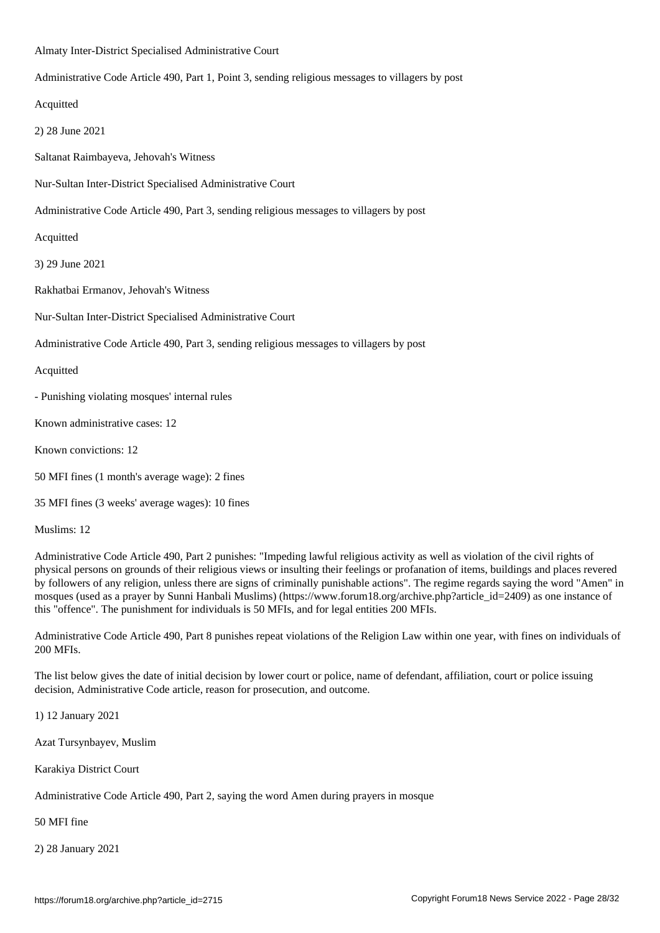Almaty Inter-District Specialised Administrative Court

Administrative Code Article 490, Part 1, Point 3, sending religious messages to villagers by post

Acquitted

2) 28 June 2021

Saltanat Raimbayeva, Jehovah's Witness

Nur-Sultan Inter-District Specialised Administrative Court

Administrative Code Article 490, Part 3, sending religious messages to villagers by post

Acquitted

3) 29 June 2021

Rakhatbai Ermanov, Jehovah's Witness

Nur-Sultan Inter-District Specialised Administrative Court

Administrative Code Article 490, Part 3, sending religious messages to villagers by post

Acquitted

- Punishing violating mosques' internal rules

Known administrative cases: 12

Known convictions: 12

50 MFI fines (1 month's average wage): 2 fines

35 MFI fines (3 weeks' average wages): 10 fines

Muslims: 12

Administrative Code Article 490, Part 2 punishes: "Impeding lawful religious activity as well as violation of the civil rights of physical persons on grounds of their religious views or insulting their feelings or profanation of items, buildings and places revered by followers of any religion, unless there are signs of criminally punishable actions". The regime regards saying the word "Amen" in mosques (used as a prayer by Sunni Hanbali Muslims) (https://www.forum18.org/archive.php?article\_id=2409) as one instance of this "offence". The punishment for individuals is 50 MFIs, and for legal entities 200 MFIs.

Administrative Code Article 490, Part 8 punishes repeat violations of the Religion Law within one year, with fines on individuals of 200 MFIs.

The list below gives the date of initial decision by lower court or police, name of defendant, affiliation, court or police issuing decision, Administrative Code article, reason for prosecution, and outcome.

1) 12 January 2021

Azat Tursynbayev, Muslim

Karakiya District Court

Administrative Code Article 490, Part 2, saying the word Amen during prayers in mosque

50 MFI fine

2) 28 January 2021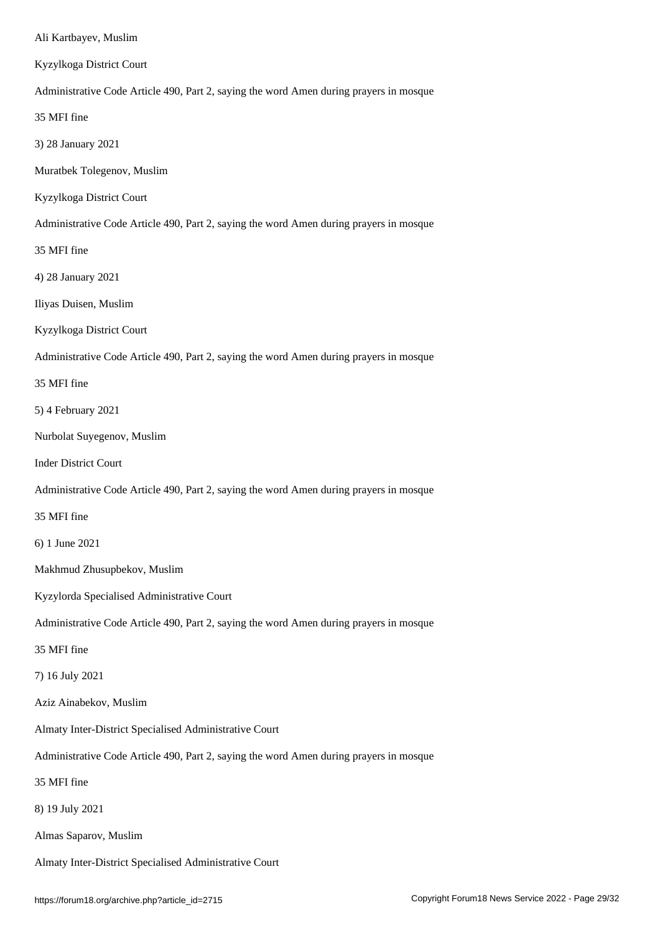#### Kyzylkoga District Court

Administrative Code Article 490, Part 2, saying the word Amen during prayers in mosque

35 MFI fine

3) 28 January 2021

Muratbek Tolegenov, Muslim

Kyzylkoga District Court

Administrative Code Article 490, Part 2, saying the word Amen during prayers in mosque

35 MFI fine

4) 28 January 2021

Iliyas Duisen, Muslim

Kyzylkoga District Court

Administrative Code Article 490, Part 2, saying the word Amen during prayers in mosque

35 MFI fine

5) 4 February 2021

Nurbolat Suyegenov, Muslim

Inder District Court

Administrative Code Article 490, Part 2, saying the word Amen during prayers in mosque

35 MFI fine

6) 1 June 2021

Makhmud Zhusupbekov, Muslim

Kyzylorda Specialised Administrative Court

Administrative Code Article 490, Part 2, saying the word Amen during prayers in mosque

35 MFI fine

7) 16 July 2021

Aziz Ainabekov, Muslim

Almaty Inter-District Specialised Administrative Court

Administrative Code Article 490, Part 2, saying the word Amen during prayers in mosque

35 MFI fine

8) 19 July 2021

Almas Saparov, Muslim

Almaty Inter-District Specialised Administrative Court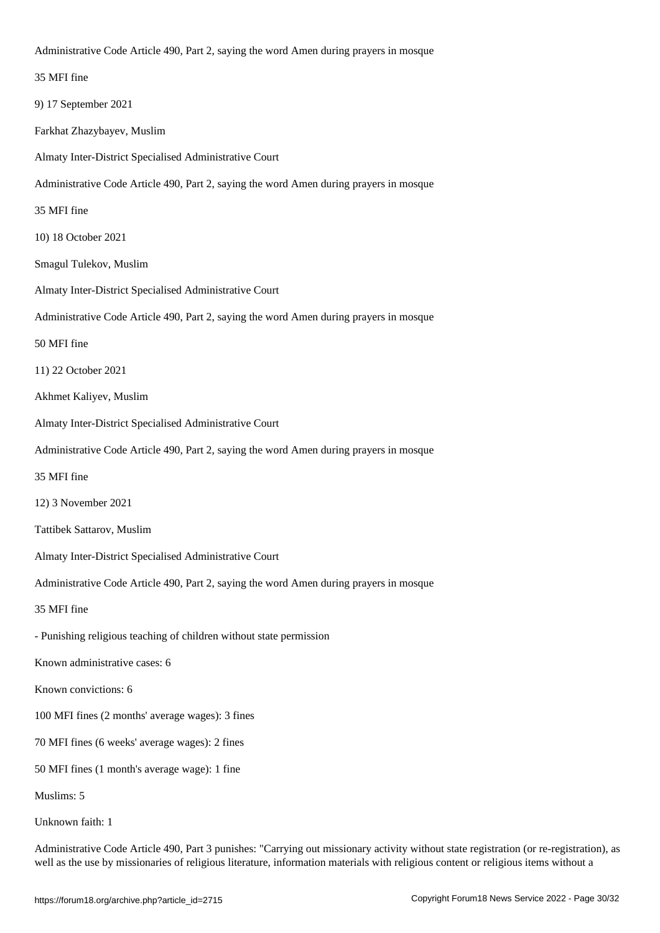| 35 MFI fine                                                                            |
|----------------------------------------------------------------------------------------|
| 9) 17 September 2021                                                                   |
| Farkhat Zhazybayev, Muslim                                                             |
| Almaty Inter-District Specialised Administrative Court                                 |
| Administrative Code Article 490, Part 2, saying the word Amen during prayers in mosque |
| 35 MFI fine                                                                            |
| 10) 18 October 2021                                                                    |
| Smagul Tulekov, Muslim                                                                 |
| Almaty Inter-District Specialised Administrative Court                                 |
| Administrative Code Article 490, Part 2, saying the word Amen during prayers in mosque |
| 50 MFI fine                                                                            |
| 11) 22 October 2021                                                                    |
| Akhmet Kaliyev, Muslim                                                                 |
| Almaty Inter-District Specialised Administrative Court                                 |
| Administrative Code Article 490, Part 2, saying the word Amen during prayers in mosque |
| 35 MFI fine                                                                            |
| 12) 3 November 2021                                                                    |
| Tattibek Sattarov, Muslim                                                              |
| Almaty Inter-District Specialised Administrative Court                                 |
| Administrative Code Article 490, Part 2, saying the word Amen during prayers in mosque |
| 35 MFI fine                                                                            |
| - Punishing religious teaching of children without state permission                    |
| Known administrative cases: 6                                                          |
| Known convictions: 6                                                                   |
| 100 MFI fines (2 months' average wages): 3 fines                                       |
| 70 MFI fines (6 weeks' average wages): 2 fines                                         |
| 50 MFI fines (1 month's average wage): 1 fine                                          |
| Muslims: 5                                                                             |
| Unknown faith: 1                                                                       |

Administrative Code Article 490, Part 3 punishes: "Carrying out missionary activity without state registration (or re-registration), as well as the use by missionaries of religious literature, information materials with religious content or religious items without a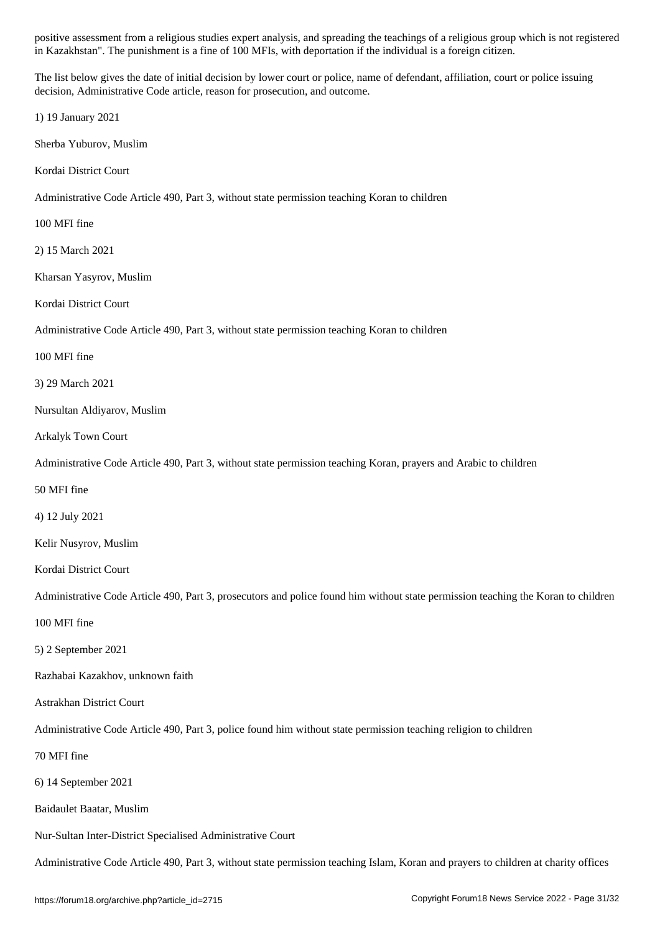The list below gives the date of initial decision by lower court or police, name of defendant, affiliation, court or police issuing decision, Administrative Code article, reason for prosecution, and outcome.

in Kazakhstan". The punishment is a fine of 100 MFIs, with deportation if the individual is a foreign citizen.

1) 19 January 2021

Sherba Yuburov, Muslim

Kordai District Court

Administrative Code Article 490, Part 3, without state permission teaching Koran to children

100 MFI fine

2) 15 March 2021

Kharsan Yasyrov, Muslim

Kordai District Court

Administrative Code Article 490, Part 3, without state permission teaching Koran to children

100 MFI fine

3) 29 March 2021

Nursultan Aldiyarov, Muslim

Arkalyk Town Court

Administrative Code Article 490, Part 3, without state permission teaching Koran, prayers and Arabic to children

50 MFI fine

4) 12 July 2021

Kelir Nusyrov, Muslim

Kordai District Court

Administrative Code Article 490, Part 3, prosecutors and police found him without state permission teaching the Koran to children

100 MFI fine

5) 2 September 2021

Razhabai Kazakhov, unknown faith

Astrakhan District Court

Administrative Code Article 490, Part 3, police found him without state permission teaching religion to children

70 MFI fine

6) 14 September 2021

Baidaulet Baatar, Muslim

Nur-Sultan Inter-District Specialised Administrative Court

Administrative Code Article 490, Part 3, without state permission teaching Islam, Koran and prayers to children at charity offices